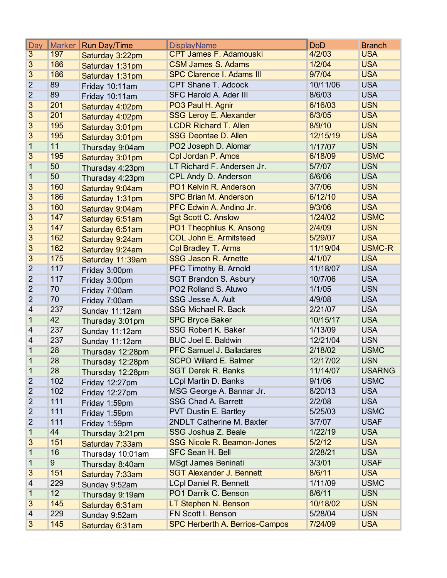| Day            | <b>Marker</b> | <b>Run Day/Time</b> | <b>DisplayName</b>                | <b>DoD</b> | <b>Branch</b> |
|----------------|---------------|---------------------|-----------------------------------|------------|---------------|
| $\overline{3}$ | 197           | Saturday 3:22pm     | <b>CPT James F. Adamouski</b>     | 4/2/03     | <b>USA</b>    |
| $\overline{3}$ | 186           | Saturday 1:31pm     | <b>CSM James S. Adams</b>         | 1/2/04     | <b>USA</b>    |
| $\overline{3}$ | 186           | Saturday 1:31pm     | <b>SPC Clarence I. Adams III</b>  | 9/7/04     | <b>USA</b>    |
| $\overline{2}$ | 89            | Friday 10:11am      | <b>CPT Shane T. Adcock</b>        | 10/11/06   | <b>USA</b>    |
| $\overline{2}$ | 89            | Friday 10:11am      | <b>SFC Harold A. Ader III</b>     | 8/6/03     | <b>USA</b>    |
| 3              | 201           | Saturday 4:02pm     | PO3 Paul H. Agnir                 | 6/16/03    | <b>USN</b>    |
| 3              | 201           | Saturday 4:02pm     | <b>SSG Leroy E. Alexander</b>     | 6/3/05     | <b>USA</b>    |
| $\overline{3}$ | 195           | Saturday 3:01pm     | <b>LCDR Richard T. Allen</b>      | 8/9/10     | <b>USN</b>    |
| $\overline{3}$ | 195           | Saturday 3:01pm     | <b>SSG Deontae D. Allen</b>       | 12/15/19   | <b>USA</b>    |
| 1              | 11            | Thursday 9:04am     | PO2 Joseph D. Alomar              | 1/17/07    | <b>USN</b>    |
| $\overline{3}$ | 195           | Saturday 3:01pm     | Cpl Jordan P. Amos                | 6/18/09    | <b>USMC</b>   |
| 1              | 50            | Thursday 4:23pm     | LT Richard F. Andersen Jr.        | 5/7/07     | <b>USN</b>    |
| 1              | 50            | Thursday 4:23pm     | CPL Andy D. Anderson              | 6/6/06     | <b>USA</b>    |
| $\overline{3}$ | 160           | Saturday 9:04am     | PO1 Kelvin R. Anderson            | 3/7/06     | <b>USN</b>    |
| $\overline{3}$ | 186           | Saturday 1:31pm     | <b>SPC Brian M. Anderson</b>      | 6/12/10    | <b>USA</b>    |
| 3              | 160           | Saturday 9:04am     | PFC Edwin A. Andino Jr.           | 9/3/06     | <b>USA</b>    |
| 3              | 147           | Saturday 6:51am     | <b>Sgt Scott C. Anslow</b>        | 1/24/02    | <b>USMC</b>   |
| 3              | 147           | Saturday 6:51am     | PO1 Theophilus K. Ansong          | 2/4/09     | <b>USN</b>    |
| 3              | 162           | Saturday 9:24am     | <b>COL John E. Armitstead</b>     | 5/29/07    | <b>USA</b>    |
| $\overline{3}$ | 162           | Saturday 9:24am     | <b>Cpl Bradley T. Arms</b>        | 11/19/04   | <b>USMC-R</b> |
| $\overline{3}$ | 175           | Saturday 11:39am    | <b>SSG Jason R. Arnette</b>       | 4/1/07     | <b>USA</b>    |
| $\overline{2}$ | 117           | Friday 3:00pm       | PFC Timothy B. Arnold             | 11/18/07   | <b>USA</b>    |
| $\overline{2}$ | 117           | Friday 3:00pm       | <b>SGT Brandon S. Asbury</b>      | 10/7/06    | <b>USA</b>    |
| $\overline{2}$ | 70            | Friday 7:00am       | PO2 Rolland S. Atuwo              | 1/1/05     | <b>USN</b>    |
| $\overline{2}$ | 70            | Friday 7:00am       | SSG Jesse A. Ault                 | 4/9/08     | <b>USA</b>    |
| 4              | 237           | Sunday 11:12am      | SSG Michael R. Back               | 2/21/07    | <b>USA</b>    |
| 1              | 42            | Thursday 3:01pm     | <b>SPC Bryce Baker</b>            | 10/15/17   | <b>USA</b>    |
| 4              | 237           | Sunday 11:12am      | SSG Robert K. Baker               | 1/13/09    | <b>USA</b>    |
| 4              | 237           | Sunday 11:12am      | <b>BUC Joel E. Baldwin</b>        | 12/21/04   | <b>USN</b>    |
| 1              | 28            | Thursday 12:28pm    | <b>PFC Samuel J. Balladares</b>   | 2/18/02    | <b>USMC</b>   |
| 1              | 28            | Thursday 12:28pm    | <b>SCPO Willard E. Balmer</b>     | 12/17/02   | <b>USN</b>    |
| 1              | 28            | Thursday 12:28pm    | <b>SGT Derek R. Banks</b>         | 11/14/07   | <b>USARNG</b> |
| $\overline{c}$ | 102           | Friday 12:27pm      | <b>LCpl Martin D. Banks</b>       | 9/1/06     | <b>USMC</b>   |
| $\overline{2}$ | 102           | Friday 12:27pm      | MSG George A. Bannar Jr.          | 8/20/13    | <b>USA</b>    |
| $\overline{2}$ | 111           | Friday 1:59pm       | <b>SSG Chad A. Barrett</b>        | 2/2/08     | <b>USA</b>    |
| $\overline{c}$ | 111           | Friday 1:59pm       | <b>PVT Dustin E. Bartley</b>      | 5/25/03    | <b>USMC</b>   |
| $\overline{2}$ | 111           | Friday 1:59pm       | 2NDLT Catherine M. Baxter         | 3/7/07     | <b>USAF</b>   |
| 1              | 44            | Thursday 3:21pm     | SSG Joshua Z. Beale               | 1/22/19    | <b>USA</b>    |
| 3              | 151           | Saturday 7:33am     | <b>SSG Nicole R. Beamon-Jones</b> | 5/2/12     | <b>USA</b>    |
| 1              | 16            | Thursday 10:01am    | SFC Sean H. Bell                  | 2/28/21    | <b>USA</b>    |
| 1              | 9             | Thursday 8:40am     | <b>MSgt James Beninati</b>        | 3/3/01     | <b>USAF</b>   |
| 3              | 151           | Saturday 7:33am     | <b>SGT Alexander J. Bennett</b>   | 8/6/11     | <b>USA</b>    |
| 4              | 229           | Sunday 9:52am       | <b>LCpl Daniel R. Bennett</b>     | 1/11/09    | <b>USMC</b>   |
| 1              | 12            | Thursday 9:19am     | PO1 Darrik C. Benson              | 8/6/11     | <b>USN</b>    |
| 3              | 145           | Saturday 6:31am     | LT Stephen N. Benson              | 10/18/02   | <b>USN</b>    |
| 4              | 229           | Sunday 9:52am       | FN Scott I. Benson                | 5/28/04    | <b>USN</b>    |
| 3              | 145           | Saturday 6:31am     | SPC Herberth A. Berrios-Campos    | 7/24/09    | <b>USA</b>    |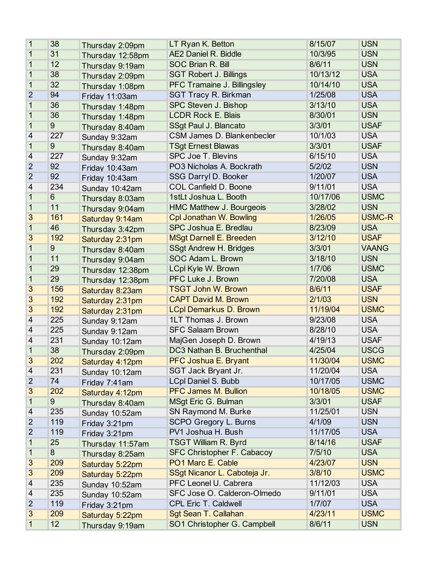| 1                        | 38              | Thursday 2:09pm  | LT Ryan K. Betton                 | 8/15/07  | <b>USN</b>    |
|--------------------------|-----------------|------------------|-----------------------------------|----------|---------------|
| 1                        | 31              | Thursday 12:58pm | <b>AE2 Daniel R. Biddle</b>       | 10/3/95  | <b>USN</b>    |
| 1                        | 12              | Thursday 9:19am  | <b>SOC Brian R. Bill</b>          | 8/6/11   | <b>USN</b>    |
| 1                        | 38              | Thursday 2:09pm  | <b>SGT Robert J. Billings</b>     | 10/13/12 | <b>USA</b>    |
| 1                        | 32              | Thursday 1:08pm  | PFC Tramaine J. Billingsley       | 10/14/10 | <b>USA</b>    |
| $\overline{2}$           | 94              | Friday 11:03am   | <b>SGT Tracy R. Birkman</b>       | 1/25/08  | <b>USA</b>    |
| 1                        | 36              | Thursday 1:48pm  | SPC Steven J. Bishop              | 3/13/10  | <b>USA</b>    |
| 1                        | 36              | Thursday 1:48pm  | <b>LCDR Rock E. Blais</b>         | 8/30/01  | <b>USN</b>    |
| 1                        | 9               | Thursday 8:40am  | SSgt Paul J. Blancato             | 3/3/01   | <b>USAF</b>   |
| $\overline{\mathcal{A}}$ | 227             | Sunday 9:32am    | CSM James D. Blankenbecler        | 10/1/03  | <b>USA</b>    |
| $\mathbf{1}$             | 9               | Thursday 8:40am  | <b>TSgt Ernest Blawas</b>         | 3/3/01   | <b>USAF</b>   |
| 4                        | 227             | Sunday 9:32am    | SPC Joe T. Blevins                | 6/15/10  | <b>USA</b>    |
| $\overline{2}$           | 92              | Friday 10:43am   | PO3 Nicholas A. Bockrath          | 5/2/02   | <b>USN</b>    |
| $\overline{2}$           | 92              | Friday 10:43am   | SSG Darryl D. Booker              | 1/20/07  | <b>USA</b>    |
| 4                        | 234             | Sunday 10:42am   | <b>COL Canfield D. Boone</b>      | 9/11/01  | <b>USA</b>    |
| 1                        | $6\phantom{1}$  | Thursday 8:03am  | 1stLt Joshua L. Booth             | 10/17/06 | <b>USMC</b>   |
| 1                        | 11              | Thursday 9:04am  | <b>HMC Matthew J. Bourgeois</b>   | 3/28/02  | <b>USN</b>    |
| 3                        | 161             | Saturday 9:14am  | Cpl Jonathan W. Bowling           | 1/26/05  | <b>USMC-R</b> |
| $\mathbf 1$              | 46              | Thursday 3:42pm  | SPC Joshua E. Bredlau             | 8/23/09  | <b>USA</b>    |
| 3                        | 192             | Saturday 2:31pm  | <b>MSgt Darnell E. Breeden</b>    | 3/12/10  | <b>USAF</b>   |
| 1                        | 9               | Thursday 8:40am  | <b>SSgt Andrew H. Bridges</b>     | 3/3/01   | <b>VAANG</b>  |
| 1                        | 11              | Thursday 9:04am  | SOC Adam L. Brown                 | 3/18/10  | <b>USN</b>    |
| 1                        | 29              | Thursday 12:38pm | <b>LCpl Kyle W. Brown</b>         | 1/7/06   | <b>USMC</b>   |
| 1                        | 29              | Thursday 12:38pm | PFC Luke J. Brown                 | 7/20/08  | <b>USA</b>    |
| 3                        | 156             | Saturday 8:23am  | <b>TSGT John W. Brown</b>         | 8/6/11   | <b>USAF</b>   |
| 3                        | 192             | Saturday 2:31pm  | <b>CAPT David M. Brown</b>        | 2/1/03   | <b>USN</b>    |
| 3                        | 192             | Saturday 2:31pm  | <b>LCpl Demarkus D. Brown</b>     | 11/19/04 | <b>USMC</b>   |
| $\overline{\mathcal{A}}$ | 225             | Sunday 9:12am    | 1LT Thomas J. Brown               | 9/23/08  | <b>USA</b>    |
| 4                        | 225             | Sunday 9:12am    | <b>SFC Salaam Brown</b>           | 8/28/10  | <b>USA</b>    |
| 4                        | 231             | Sunday 10:12am   | MajGen Joseph D. Brown            | 4/19/13  | <b>USAF</b>   |
| 1                        | 38              | Thursday 2:09pm  | DC3 Nathan B. Bruchenthal         | 4/25/04  | <b>USCG</b>   |
| 3                        | 202             | Saturday 4:12pm  | PFC Joshua E. Bryant              | 11/30/04 | <b>USMC</b>   |
| 4                        | 231             | Sunday 10:12am   | SGT Jack Bryant Jr.               | 11/20/04 | <b>USA</b>    |
| $\overline{2}$           | 74              | Friday 7:41am    | <b>LCpl Daniel S. Bubb</b>        | 10/17/05 | <b>USMC</b>   |
| 3                        | 202             | Saturday 4:12pm  | <b>PFC James M. Bullion</b>       | 10/18/05 | <b>USMC</b>   |
| 1                        | 9               | Thursday 8:40am  | <b>MSgt Eric G. Bulman</b>        | 3/3/01   | <b>USAF</b>   |
| 4                        | 235             | Sunday 10:52am   | SN Raymond M. Burke               | 11/25/01 | <b>USN</b>    |
| $\overline{2}$           | 119             | Friday 3:21pm    | SCPO Gregory L. Burns             | 4/1/09   | <b>USN</b>    |
| 2                        | 119             | Friday 3:21pm    | PV1 Joshua H. Bush                | 11/17/05 | <b>USA</b>    |
| 1                        | 25              | Thursday 11:57am | <b>TSGT William R. Byrd</b>       | 8/14/16  | <b>USAF</b>   |
| 1                        | 8               | Thursday 8:25am  | <b>SFC Christopher F. Cabacoy</b> | 7/5/10   | <b>USA</b>    |
| 3                        | 209             | Saturday 5:22pm  | PO1 Marc E. Cable                 | 4/23/07  | <b>USN</b>    |
| 3                        | 209             | Saturday 5:22pm  | SSgt Nicanor L. Caboteja Jr.      | 3/8/10   | <b>USMC</b>   |
| 4                        | 235             | Sunday 10:52am   | PFC Leonel U. Cabrera             | 11/12/03 | <b>USA</b>    |
| 4                        | 235             | Sunday 10:52am   | SFC Jose O. Calderon-Olmedo       | 9/11/01  | <b>USA</b>    |
| $\overline{2}$           | 119             | Friday 3:21pm    | <b>CPL Eric T. Caldwell</b>       | 1/7/07   | <b>USA</b>    |
| 3                        | 209             | Saturday 5:22pm  | <b>Sgt Sean T. Callahan</b>       | 4/23/11  | <b>USMC</b>   |
| $\mathbf{1}$             | 12 <sub>2</sub> | Thursday 9:19am  | SO1 Christopher G. Campbell       | 8/6/11   | <b>USN</b>    |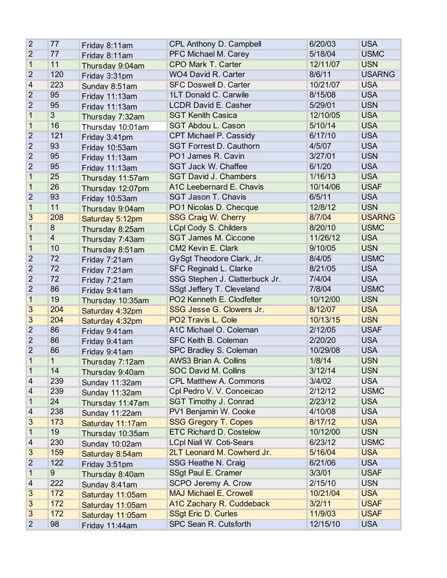| $\overline{2}$ | 77             | Friday 8:11am    | CPL Anthony D. Campbell         | 6/20/03  | <b>USA</b>    |
|----------------|----------------|------------------|---------------------------------|----------|---------------|
| $\overline{2}$ | 77             | Friday 8:11am    | PFC Michael M. Carey            | 5/18/04  | <b>USMC</b>   |
| 1              | 11             | Thursday 9:04am  | CPO Mark T. Carter              | 12/11/07 | <b>USN</b>    |
| $\overline{2}$ | 120            | Friday 3:31pm    | <b>WO4 David R. Carter</b>      | 8/6/11   | <b>USARNG</b> |
| 4              | 223            | Sunday 8:51am    | <b>SFC Doswell D. Carter</b>    | 10/21/07 | <b>USA</b>    |
| $\overline{2}$ | 95             | Friday 11:13am   | 1LT Donald C. Carwile           | 8/15/08  | <b>USA</b>    |
| $\overline{2}$ | 95             | Friday 11:13am   | <b>LCDR David E. Casher</b>     | 5/29/01  | <b>USN</b>    |
| 1              | 3              | Thursday 7:32am  | <b>SGT Kenith Casica</b>        | 12/10/05 | <b>USA</b>    |
| 1              | 16             | Thursday 10:01am | SGT Abdou L. Cason              | 5/10/14  | <b>USA</b>    |
| $\overline{2}$ | 121            | Friday 3:41pm    | CPT Michael P. Cassidy          | 6/17/10  | <b>USA</b>    |
| $\overline{2}$ | 93             | Friday 10:53am   | <b>SGT Forrest D. Cauthorn</b>  | 4/5/07   | <b>USA</b>    |
| $\overline{2}$ | 95             | Friday 11:13am   | PO1 James R. Cavin              | 3/27/01  | <b>USN</b>    |
| $\overline{2}$ | 95             | Friday 11:13am   | <b>SGT Jack W. Chaffee</b>      | 6/1/20   | <b>USA</b>    |
| 1              | 25             | Thursday 11:57am | <b>SGT David J. Chambers</b>    | 1/16/13  | <b>USA</b>    |
| 1              | 26             | Thursday 12:07pm | A1C Leebernard E. Chavis        | 10/14/06 | <b>USAF</b>   |
| $\overline{2}$ | 93             | Friday 10:53am   | <b>SGT Jason T. Chavis</b>      | 6/5/11   | <b>USA</b>    |
| 1              | 11             | Thursday 9:04am  | PO1 Nicolas D. Checque          | 12/8/12  | <b>USN</b>    |
| $\overline{3}$ | 208            | Saturday 5:12pm  | <b>SSG Craig W. Cherry</b>      | 8/7/04   | <b>USARNG</b> |
| 1              | 8              | Thursday 8:25am  | <b>LCpl Cody S. Childers</b>    | 8/20/10  | <b>USMC</b>   |
| 1              | $\overline{4}$ | Thursday 7:43am  | <b>SGT James M. Ciccone</b>     | 11/26/12 | <b>USA</b>    |
| 1              | 10             | Thursday 8:51am  | <b>CM2 Kevin E. Clark</b>       | 9/10/05  | <b>USN</b>    |
| $\overline{2}$ | 72             | Friday 7:21am    | GySgt Theodore Clark, Jr.       | 8/4/05   | <b>USMC</b>   |
| $\overline{2}$ | 72             | Friday 7:21am    | SFC Reginald L. Clarke          | 8/21/05  | <b>USA</b>    |
| $\overline{2}$ | 72             | Friday 7:21am    | SSG Stephen J. Clatterbuck Jr.  | 7/4/04   | <b>USA</b>    |
| $\overline{2}$ | 86             | Friday 9:41am    | SSgt Jeffery T. Cleveland       | 7/8/04   | <b>USMC</b>   |
| 1              | 19             | Thursday 10:35am | PO2 Kenneth E. Clodfelter       | 10/12/00 | <b>USN</b>    |
| $\overline{3}$ | 204            | Saturday 4:32pm  | SSG Jesse G. Clowers Jr.        | 8/12/07  | <b>USA</b>    |
| $\overline{3}$ | 204            | Saturday 4:32pm  | PO2 Travis L. Cole              | 10/13/15 | <b>USN</b>    |
| $\overline{2}$ | 86             | Friday 9:41am    | A1C Michael O. Coleman          | 2/12/05  | <b>USAF</b>   |
| $\overline{2}$ | 86             | Friday 9:41am    | SFC Keith B. Coleman            | 2/20/20  | <b>USA</b>    |
| $\overline{2}$ | 86             | Friday 9:41am    | SPC Bradley S. Coleman          | 10/29/08 | <b>USA</b>    |
| $\mathbf{1}$   | 1              | Thursday 7:12am  | <b>AWS3 Brian A. Collins</b>    | 1/8/14   | <b>USN</b>    |
| 1              | 14             | Thursday 9:40am  | SOC David M. Collins            | 3/12/14  | <b>USN</b>    |
| 4              | 239            | Sunday 11:32am   | <b>CPL Matthew A. Commons</b>   | 3/4/02   | <b>USA</b>    |
| 4              | 239            | Sunday 11:32am   | Cpl Pedro V. V. Conceicao       | 2/12/12  | <b>USMC</b>   |
| 1              | 24             | Thursday 11:47am | <b>SGT Timothy J. Conrad</b>    | 2/23/12  | <b>USA</b>    |
| 4              | 238            | Sunday 11:22am   | PV1 Benjamin W. Cooke           | 4/10/08  | <b>USA</b>    |
| 3              | 173            | Saturday 11:17am | <b>SSG Gregory T. Copes</b>     | 8/17/12  | <b>USA</b>    |
| 1              | 19             | Thursday 10:35am | <b>ETC Richard D. Costelow</b>  | 10/12/00 | <b>USN</b>    |
| 4              | 230            | Sunday 10:02am   | <b>LCpl Niall W. Coti-Sears</b> | 6/23/12  | <b>USMC</b>   |
| 3              | 159            | Saturday 8:54am  | 2LT Leonard M. Cowherd Jr.      | 5/16/04  | <b>USA</b>    |
| $\overline{2}$ | 122            | Friday 3:51pm    | SSG Heathe N. Craig             | 6/21/06  | <b>USA</b>    |
| 1              | $\overline{9}$ | Thursday 8:40am  | SSgt Paul E. Cramer             | 3/3/01   | <b>USAF</b>   |
| 4              | 222            | Sunday 8:41am    | SCPO Jeremy A. Crow             | 2/15/10  | <b>USN</b>    |
| 3              | 172            | Saturday 11:05am | <b>MAJ Michael E. Crowell</b>   | 10/21/04 | <b>USA</b>    |
| 3              | 172            | Saturday 11:05am | A1C Zachary R. Cuddeback        | 3/2/11   | <b>USAF</b>   |
| 3              | 172            | Saturday 11:05am | <b>SSgt Eric D. Curles</b>      | 11/9/03  | <b>USAF</b>   |
| $\overline{2}$ | 98             | Friday 11:44am   | SPC Sean R. Cutsforth           | 12/15/10 | <b>USA</b>    |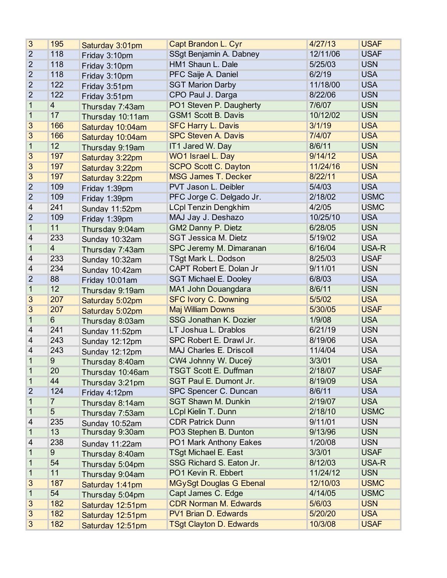| 3              | 195             | Saturday 3:01pm  | Capt Brandon L. Cyr            | 4/27/13  | <b>USAF</b> |
|----------------|-----------------|------------------|--------------------------------|----------|-------------|
| $\overline{2}$ | 118             | Friday 3:10pm    | SSgt Benjamin A. Dabney        | 12/11/06 | <b>USAF</b> |
| $\overline{2}$ | 118             | Friday 3:10pm    | HM1 Shaun L. Dale              | 5/25/03  | <b>USN</b>  |
| $\overline{2}$ | 118             | Friday 3:10pm    | PFC Saije A. Daniel            | 6/2/19   | <b>USA</b>  |
| $\overline{2}$ | 122             | Friday 3:51pm    | <b>SGT Marion Darby</b>        | 11/18/00 | <b>USA</b>  |
| $\overline{2}$ | 122             | Friday 3:51pm    | CPO Paul J. Darga              | 8/22/06  | <b>USN</b>  |
| 1              | $\overline{4}$  | Thursday 7:43am  | PO1 Steven P. Daugherty        | 7/6/07   | <b>USN</b>  |
| 1              | 17              | Thursday 10:11am | <b>GSM1 Scott B. Davis</b>     | 10/12/02 | <b>USN</b>  |
| 3              | 166             | Saturday 10:04am | <b>SFC Harry L. Davis</b>      | 3/1/19   | <b>USA</b>  |
| 3              | 166             | Saturday 10:04am | <b>SPC Steven A. Davis</b>     | 7/4/07   | <b>USA</b>  |
| $\mathbf{1}$   | 12              | Thursday 9:19am  | IT1 Jared W. Day               | 8/6/11   | <b>USN</b>  |
| 3              | 197             | Saturday 3:22pm  | WO1 Israel L. Day              | 9/14/12  | <b>USA</b>  |
| 3              | 197             | Saturday 3:22pm  | <b>SCPO Scott C. Dayton</b>    | 11/24/16 | <b>USN</b>  |
| 3              | 197             | Saturday 3:22pm  | <b>MSG James T. Decker</b>     | 8/22/11  | <b>USA</b>  |
| $\overline{2}$ | 109             | Friday 1:39pm    | PVT Jason L. Deibler           | 5/4/03   | <b>USA</b>  |
| $\overline{2}$ | 109             | Friday 1:39pm    | PFC Jorge C. Delgado Jr.       | 2/18/02  | <b>USMC</b> |
| 4              | 241             | Sunday 11:52pm   | <b>LCpl Tenzin Dengkhim</b>    | 4/2/05   | <b>USMC</b> |
| $\overline{2}$ | 109             | Friday 1:39pm    | MAJ Jay J. Deshazo             | 10/25/10 | <b>USA</b>  |
| 1              | 11              | Thursday 9:04am  | <b>GM2 Danny P. Dietz</b>      | 6/28/05  | <b>USN</b>  |
| 4              | 233             | Sunday 10:32am   | <b>SGT Jessica M. Dietz</b>    | 5/19/02  | <b>USA</b>  |
| $\overline{1}$ | $\overline{4}$  | Thursday 7:43am  | SPC Jeremy M. Dimaranan        | 6/16/04  | USA-R       |
| 4              | 233             | Sunday 10:32am   | TSgt Mark L. Dodson            | 8/25/03  | <b>USAF</b> |
| 4              | 234             | Sunday 10:42am   | CAPT Robert E. Dolan Jr        | 9/11/01  | <b>USN</b>  |
| $\overline{2}$ | 88              | Friday 10:01am   | <b>SGT Michael E. Dooley</b>   | 6/8/03   | <b>USA</b>  |
| 1              | 12              | Thursday 9:19am  | MA1 John Douangdara            | 8/6/11   | <b>USN</b>  |
| 3              | 207             | Saturday 5:02pm  | <b>SFC Ivory C. Downing</b>    | 5/5/02   | <b>USA</b>  |
| 3              | 207             | Saturday 5:02pm  | <b>Maj William Downs</b>       | 5/30/05  | <b>USAF</b> |
| 1              | $6\phantom{1}$  | Thursday 8:03am  | SSG Jonathan K. Dozier         | 1/9/08   | <b>USA</b>  |
| 4              | 241             | Sunday 11:52pm   | LT Joshua L. Drablos           | 6/21/19  | <b>USN</b>  |
| 4              | 243             | Sunday 12:12pm   | SPC Robert E. Drawl Jr.        | 8/19/06  | <b>USA</b>  |
| 4              | 243             | Sunday 12:12pm   | MAJ Charles E. Driscoll        | 11/4/04  | <b>USA</b>  |
| 1              | 9               | Thursday 8:40am  | CW4 Johnny W. Duceÿ            | 3/3/01   | <b>USA</b>  |
| 1              | 20              | Thursday 10:46am | <b>TSGT Scott E. Duffman</b>   | 2/18/07  | <b>USAF</b> |
| 1              | 44              | Thursday 3:21pm  | SGT Paul E. Dumont Jr.         | 8/19/09  | <b>USA</b>  |
| $\overline{2}$ | 124             | Friday 4:12pm    | SPC Spencer C. Duncan          | 8/6/11   | <b>USA</b>  |
| 1              | $\overline{7}$  | Thursday 8:14am  | <b>SGT Shawn M. Dunkin</b>     | 2/19/07  | <b>USA</b>  |
| 1              | $5\overline{)}$ | Thursday 7:53am  | LCpl Kielin T. Dunn            | 2/18/10  | <b>USMC</b> |
| 4              | 235             | Sunday 10:52am   | <b>CDR Patrick Dunn</b>        | 9/11/01  | <b>USN</b>  |
| $\mathbf 1$    | 13              | Thursday 9:30am  | PO3 Stephen B. Dunton          | 9/13/96  | <b>USN</b>  |
| 4              | 238             | Sunday 11:22am   | PO1 Mark Anthony Eakes         | 1/20/08  | <b>USN</b>  |
| 1              | 9               | Thursday 8:40am  | <b>TSgt Michael E. East</b>    | 3/3/01   | <b>USAF</b> |
| 1              | 54              | Thursday 5:04pm  | SSG Richard S. Eaton Jr.       | 8/12/03  | USA-R       |
| 1              | 11              | Thursday 9:04am  | PO1 Kevin R. Ebbert            | 11/24/12 | <b>USN</b>  |
| 3              | 187             | Saturday 1:41pm  | <b>MGySgt Douglas G Ebenal</b> | 12/10/03 | <b>USMC</b> |
| $\mathbf 1$    | 54              | Thursday 5:04pm  | Capt James C. Edge             | 4/14/05  | <b>USMC</b> |
| 3              | 182             | Saturday 12:51pm | <b>CDR Norman M. Edwards</b>   | 5/6/03   | <b>USN</b>  |
| 3              | 182             | Saturday 12:51pm | PV1 Brian D. Edwards           | 5/20/20  | <b>USA</b>  |
| 3              | 182             | Saturday 12:51pm | <b>TSgt Clayton D. Edwards</b> | 10/3/08  | <b>USAF</b> |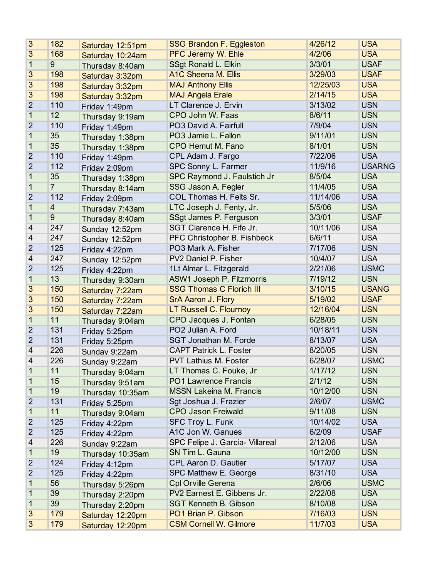| 3                        | 182            | Saturday 12:51pm | <b>SSG Brandon F. Eggleston</b> | 4/26/12  | <b>USA</b>    |
|--------------------------|----------------|------------------|---------------------------------|----------|---------------|
| 3                        | 168            | Saturday 10:24am | PFC Jeremy W. Ehle              | 4/2/06   | <b>USA</b>    |
| $\mathbf{1}$             | 9              | Thursday 8:40am  | SSgt Ronald L. Elkin            | 3/3/01   | <b>USAF</b>   |
| 3                        | 198            | Saturday 3:32pm  | A1C Sheena M. Ellis             | 3/29/03  | <b>USAF</b>   |
| 3                        | 198            | Saturday 3:32pm  | <b>MAJ Anthony Ellis</b>        | 12/25/03 | <b>USA</b>    |
| 3                        | 198            | Saturday 3:32pm  | <b>MAJ Angela Erale</b>         | 2/14/15  | <b>USA</b>    |
| $\overline{2}$           | 110            | Friday 1:49pm    | LT Clarence J. Ervin            | 3/13/02  | <b>USN</b>    |
| $\mathbf{1}$             | 12             | Thursday 9:19am  | CPO John W. Faas                | 8/6/11   | <b>USN</b>    |
| $\overline{2}$           | 110            | Friday 1:49pm    | PO3 David A. Fairfull           | 7/9/04   | <b>USN</b>    |
| 1                        | 35             | Thursday 1:38pm  | PO3 Jamie L. Fallon             | 9/11/01  | <b>USN</b>    |
| $\mathbf{1}$             | 35             | Thursday 1:38pm  | CPO Hemut M. Fano               | 8/1/01   | <b>USN</b>    |
| $\overline{2}$           | 110            | Friday 1:49pm    | CPL Adam J. Fargo               | 7/22/06  | <b>USA</b>    |
| $\overline{2}$           | 112            | Friday 2:09pm    | SPC Sonny L. Farmer             | 11/9/16  | <b>USARNG</b> |
| $\mathbf{1}$             | 35             | Thursday 1:38pm  | SPC Raymond J. Faulstich Jr     | 8/5/04   | <b>USA</b>    |
| $\mathbf 1$              | $\overline{7}$ | Thursday 8:14am  | SSG Jason A. Fegler             | 11/4/05  | <b>USA</b>    |
| $\overline{2}$           | 112            | Friday 2:09pm    | COL Thomas H. Felts Sr.         | 11/14/06 | <b>USA</b>    |
| $\mathbf{1}$             | $\overline{4}$ | Thursday 7:43am  | LTC Joseph J. Fenty, Jr.        | 5/5/06   | <b>USA</b>    |
| $\mathbf{1}$             | 9              | Thursday 8:40am  | SSgt James P. Ferguson          | 3/3/01   | <b>USAF</b>   |
| 4                        | 247            | Sunday 12:52pm   | SGT Clarence H. Fife Jr.        | 10/11/06 | <b>USA</b>    |
| 4                        | 247            | Sunday 12:52pm   | PFC Christopher B. Fishbeck     | 6/6/11   | <b>USA</b>    |
| $\overline{2}$           | 125            | Friday 4:22pm    | PO3 Mark A. Fisher              | 7/17/06  | <b>USN</b>    |
| $\overline{\mathcal{A}}$ | 247            | Sunday 12:52pm   | PV2 Daniel P. Fisher            | 10/4/07  | <b>USA</b>    |
| $\overline{2}$           | 125            | Friday 4:22pm    | 1Lt Almar L. Fitzgerald         | 2/21/06  | <b>USMC</b>   |
| $\mathbf 1$              | 13             | Thursday 9:30am  | ASW1 Joseph P. Fitzmorris       | 7/19/12  | <b>USN</b>    |
| 3                        | 150            | Saturday 7:22am  | <b>SSG Thomas C Florich III</b> | 3/10/15  | <b>USANG</b>  |
| 3                        | 150            | Saturday 7:22am  | SrA Aaron J. Flory              | 5/19/02  | <b>USAF</b>   |
| 3                        | 150            | Saturday 7:22am  | LT Russell C. Flournoy          | 12/16/04 | <b>USN</b>    |
| $\mathbf{1}$             | 11             | Thursday 9:04am  | CPO Jacques J. Fontan           | 6/28/05  | <b>USN</b>    |
| $\overline{2}$           | 131            | Friday 5:25pm    | PO2 Julian A. Ford              | 10/18/11 | <b>USN</b>    |
| $\overline{2}$           | 131            | Friday 5:25pm    | <b>SGT Jonathan M. Forde</b>    | 8/13/07  | <b>USA</b>    |
| 4                        | 226            | Sunday 9:22am    | <b>CAPT Patrick L. Foster</b>   | 8/20/05  | <b>USN</b>    |
| 4                        | 226            | Sunday 9:22am    | <b>PVT Lathius M. Foster</b>    | 6/28/07  | <b>USMC</b>   |
| 1                        | 11             | Thursday 9:04am  | LT Thomas C. Fouke, Jr          | 1/17/12  | <b>USN</b>    |
| 1                        | 15             | Thursday 9:51am  | PO1 Lawrence Francis            | 2/1/12   | <b>USN</b>    |
| 1                        | 19             | Thursday 10:35am | <b>MSSN Lakeina M. Francis</b>  | 10/12/00 | <b>USN</b>    |
| $\overline{2}$           | 131            | Friday 5:25pm    | Sgt Joshua J. Frazier           | 2/6/07   | <b>USMC</b>   |
| $\mathbf 1$              | 11             | Thursday 9:04am  | <b>CPO Jason Freiwald</b>       | 9/11/08  | <b>USN</b>    |
| $\overline{2}$           | 125            | Friday 4:22pm    | SFC Troy L. Funk                | 10/14/02 | <b>USA</b>    |
| $\overline{2}$           | 125            | Friday 4:22pm    | A1C Jon W. Ganues               | 6/2/09   | <b>USAF</b>   |
| 4                        | 226            | Sunday 9:22am    | SPC Felipe J. Garcia- Villareal | 2/12/06  | <b>USA</b>    |
| 1                        | 19             | Thursday 10:35am | SN Tim L. Gauna                 | 10/12/00 | <b>USN</b>    |
| $\overline{2}$           | 124            | Friday 4:12pm    | CPL Aaron D. Gautier            | 5/17/07  | <b>USA</b>    |
| 2                        | 125            | Friday 4:22pm    | SPC Matthew E. George           | 8/31/10  | <b>USA</b>    |
| 1                        | 56             | Thursday 5:26pm  | <b>Cpl Orville Gerena</b>       | 2/6/06   | <b>USMC</b>   |
| 1                        | 39             | Thursday 2:20pm  | PV2 Earnest E. Gibbens Jr.      | 2/22/08  | <b>USA</b>    |
| 1                        | 39             | Thursday 2:20pm  | <b>SGT Kenneth B. Gibson</b>    | 8/10/08  | <b>USA</b>    |
| 3                        | 179            | Saturday 12:20pm | PO1 Brian P. Gibson             | 7/16/03  | <b>USN</b>    |
| 3                        | 179            | Saturday 12:20pm | <b>CSM Cornell W. Gilmore</b>   | 11/7/03  | <b>USA</b>    |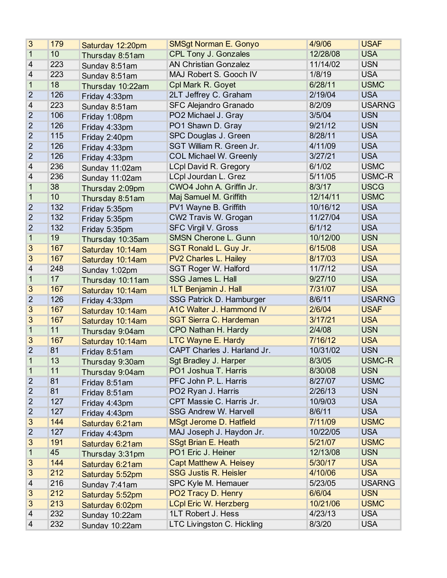| 3                        | 179 | Saturday 12:20pm | <b>SMSgt Norman E. Gonyo</b>   | 4/9/06   | <b>USAF</b>   |
|--------------------------|-----|------------------|--------------------------------|----------|---------------|
| 1                        | 10  | Thursday 8:51am  | <b>CPL Tony J. Gonzales</b>    | 12/28/08 | <b>USA</b>    |
| 4                        | 223 | Sunday 8:51am    | <b>AN Christian Gonzalez</b>   | 11/14/02 | <b>USN</b>    |
| $\overline{\mathcal{A}}$ | 223 | Sunday 8:51am    | MAJ Robert S. Gooch IV         | 1/8/19   | <b>USA</b>    |
| $\mathbf 1$              | 18  | Thursday 10:22am | Cpl Mark R. Goyet              | 6/28/11  | <b>USMC</b>   |
| $\overline{2}$           | 126 | Friday 4:33pm    | 2LT Jeffrey C. Graham          | 2/19/04  | <b>USA</b>    |
| 4                        | 223 | Sunday 8:51am    | <b>SFC Alejandro Granado</b>   | 8/2/09   | <b>USARNG</b> |
| $\overline{2}$           | 106 | Friday 1:08pm    | PO2 Michael J. Gray            | 3/5/04   | <b>USN</b>    |
| $\overline{2}$           | 126 | Friday 4:33pm    | PO1 Shawn D. Gray              | 9/21/12  | <b>USN</b>    |
| $\overline{2}$           | 115 | Friday 2:40pm    | SPC Douglas J. Green           | 8/28/11  | <b>USA</b>    |
| $\overline{2}$           | 126 | Friday 4:33pm    | SGT William R. Green Jr.       | 4/11/09  | <b>USA</b>    |
| $\overline{2}$           | 126 | Friday 4:33pm    | <b>COL Michael W. Greenly</b>  | 3/27/21  | <b>USA</b>    |
| 4                        | 236 | Sunday 11:02am   | <b>LCpl David R. Gregory</b>   | 6/1/02   | <b>USMC</b>   |
| 4                        | 236 | Sunday 11:02am   | LCpl Jourdan L. Grez           | 5/11/05  | USMC-R        |
| 1                        | 38  | Thursday 2:09pm  | CWO4 John A. Griffin Jr.       | 8/3/17   | <b>USCG</b>   |
| 1                        | 10  | Thursday 8:51am  | Maj Samuel M. Griffith         | 12/14/11 | <b>USMC</b>   |
| $\overline{2}$           | 132 | Friday 5:35pm    | PV1 Wayne B. Griffith          | 10/16/12 | <b>USA</b>    |
| $\overline{2}$           | 132 | Friday 5:35pm    | CW2 Travis W. Grogan           | 11/27/04 | <b>USA</b>    |
| $\overline{2}$           | 132 | Friday 5:35pm    | <b>SFC Virgil V. Gross</b>     | 6/1/12   | <b>USA</b>    |
| 1                        | 19  | Thursday 10:35am | <b>SMSN Cherone L. Gunn</b>    | 10/12/00 | <b>USN</b>    |
| 3                        | 167 | Saturday 10:14am | SGT Ronald L. Guy Jr.          | 6/15/08  | <b>USA</b>    |
| 3                        | 167 | Saturday 10:14am | <b>PV2 Charles L. Hailey</b>   | 8/17/03  | <b>USA</b>    |
| 4                        | 248 | Sunday 1:02pm    | <b>SGT Roger W. Halford</b>    | 11/7/12  | <b>USA</b>    |
| $\mathbf 1$              | 17  | Thursday 10:11am | <b>SSG James L. Hall</b>       | 9/27/10  | <b>USA</b>    |
| 3                        | 167 | Saturday 10:14am | 1LT Benjamin J. Hall           | 7/31/07  | <b>USA</b>    |
| $\overline{2}$           | 126 | Friday 4:33pm    | SSG Patrick D. Hamburger       | 8/6/11   | <b>USARNG</b> |
| 3                        | 167 | Saturday 10:14am | A1C Walter J. Hammond IV       | 2/6/04   | <b>USAF</b>   |
| 3                        | 167 | Saturday 10:14am | <b>SGT Sierra C. Hardeman</b>  | 3/17/21  | <b>USA</b>    |
| $\mathbf{1}$             | 11  | Thursday 9:04am  | CPO Nathan H. Hardy            | 2/4/08   | <b>USN</b>    |
| 3                        | 167 | Saturday 10:14am | <b>LTC Wayne E. Hardy</b>      | 7/16/12  | <b>USA</b>    |
| $\overline{2}$           | 81  | Friday 8:51am    | CAPT Charles J. Harland Jr.    | 10/31/02 | <b>USN</b>    |
| 1                        | 13  | Thursday 9:30am  | Sgt Bradley J. Harper          | 8/3/05   | USMC-R        |
| 1                        | 11  | Thursday 9:04am  | PO1 Joshua T. Harris           | 8/30/08  | <b>USN</b>    |
| $\overline{2}$           | 81  | Friday 8:51am    | PFC John P. L. Harris          | 8/27/07  | <b>USMC</b>   |
| $\overline{2}$           | 81  | Friday 8:51am    | PO2 Ryan J. Harris             | 2/26/13  | <b>USN</b>    |
| 2                        | 127 | Friday 4:43pm    | CPT Massie C. Harris Jr.       | 10/9/03  | <b>USA</b>    |
| 2                        | 127 | Friday 4:43pm    | <b>SSG Andrew W. Harvell</b>   | 8/6/11   | <b>USA</b>    |
| 3                        | 144 | Saturday 6:21am  | <b>MSgt Jerome D. Hatfield</b> | 7/11/09  | <b>USMC</b>   |
| 2                        | 127 | Friday 4:43pm    | MAJ Joseph J. Haydon Jr.       | 10/22/05 | <b>USA</b>    |
| 3                        | 191 | Saturday 6:21am  | <b>SSgt Brian E. Heath</b>     | 5/21/07  | <b>USMC</b>   |
| 1                        | 45  | Thursday 3:31pm  | PO1 Eric J. Heiner             | 12/13/08 | <b>USN</b>    |
| 3                        | 144 | Saturday 6:21am  | <b>Capt Matthew A. Heisey</b>  | 5/30/17  | <b>USA</b>    |
| 3                        | 212 | Saturday 5:52pm  | <b>SSG Justis R. Heisler</b>   | 4/10/06  | <b>USA</b>    |
| 4                        | 216 | Sunday 7:41am    | SPC Kyle M. Hemauer            | 5/23/05  | <b>USARNG</b> |
| 3                        | 212 | Saturday 5:52pm  | PO2 Tracy D. Henry             | 6/6/04   | <b>USN</b>    |
| 3                        | 213 | Saturday 6:02pm  | <b>LCpl Eric W. Herzberg</b>   | 10/21/06 | <b>USMC</b>   |
| 4                        | 232 | Sunday 10:22am   | 1LT Robert J. Hess             | 4/23/13  | <b>USA</b>    |
| 4                        | 232 | Sunday 10:22am   | LTC Livingston C. Hickling     | 8/3/20   | <b>USA</b>    |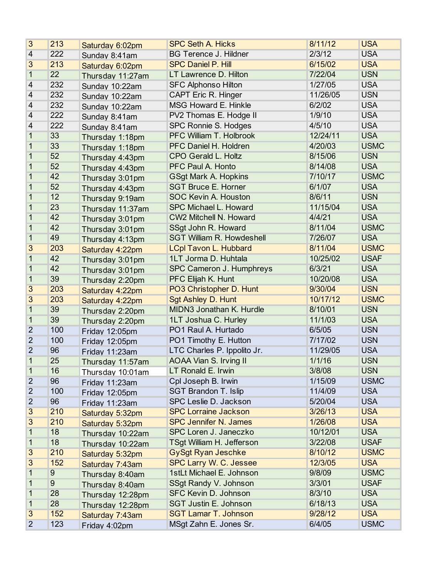| 3              | 213 | Saturday 6:02pm  | <b>SPC Seth A. Hicks</b>         | 8/11/12  | <b>USA</b>  |
|----------------|-----|------------------|----------------------------------|----------|-------------|
| 4              | 222 | Sunday 8:41am    | <b>BG Terence J. Hildner</b>     | 2/3/12   | <b>USA</b>  |
| 3              | 213 | Saturday 6:02pm  | <b>SPC Daniel P. Hill</b>        | 6/15/02  | <b>USA</b>  |
| 1              | 22  | Thursday 11:27am | LT Lawrence D. Hilton            | 7/22/04  | <b>USN</b>  |
| 4              | 232 | Sunday 10:22am   | <b>SFC Alphonso Hilton</b>       | 1/27/05  | <b>USA</b>  |
| $\overline{4}$ | 232 | Sunday 10:22am   | CAPT Eric R. Hinger              | 11/26/05 | <b>USN</b>  |
| 4              | 232 | Sunday 10:22am   | MSG Howard E. Hinkle             | 6/2/02   | <b>USA</b>  |
| 4              | 222 | Sunday 8:41am    | PV2 Thomas E. Hodge II           | 1/9/10   | <b>USA</b>  |
| 4              | 222 | Sunday 8:41am    | SPC Ronnie S. Hodges             | 4/5/10   | <b>USA</b>  |
| 1              | 33  | Thursday 1:18pm  | PFC William T. Holbrook          | 12/24/11 | <b>USA</b>  |
| 1              | 33  | Thursday 1:18pm  | PFC Daniel H. Holdren            | 4/20/03  | <b>USMC</b> |
| 1              | 52  | Thursday 4:43pm  | <b>CPO Gerald L. Holtz</b>       | 8/15/06  | <b>USN</b>  |
| 1              | 52  | Thursday 4:43pm  | PFC Paul A. Honto                | 8/14/08  | <b>USA</b>  |
| 1              | 42  | Thursday 3:01pm  | <b>GSgt Mark A. Hopkins</b>      | 7/10/17  | <b>USMC</b> |
| 1              | 52  | Thursday 4:43pm  | <b>SGT Bruce E. Horner</b>       | 6/1/07   | <b>USA</b>  |
| 1              | 12  | Thursday 9:19am  | <b>SOC Kevin A. Houston</b>      | 8/6/11   | <b>USN</b>  |
| 1              | 23  | Thursday 11:37am | SPC Michael L. Howard            | 11/15/04 | <b>USA</b>  |
| 1              | 42  | Thursday 3:01pm  | CW2 Mitchell N. Howard           | 4/4/21   | <b>USA</b>  |
| 1              | 42  | Thursday 3:01pm  | SSgt John R. Howard              | 8/11/04  | <b>USMC</b> |
| 1              | 49  | Thursday 4:13pm  | <b>SGT William R. Howdeshell</b> | 7/26/07  | <b>USA</b>  |
| 3              | 203 | Saturday 4:22pm  | <b>LCpl Tavon L. Hubbard</b>     | 8/11/04  | <b>USMC</b> |
| 1              | 42  | Thursday 3:01pm  | 1LT Jorma D. Huhtala             | 10/25/02 | <b>USAF</b> |
| 1              | 42  | Thursday 3:01pm  | SPC Cameron J. Humphreys         | 6/3/21   | <b>USA</b>  |
| 1              | 39  | Thursday 2:20pm  | PFC Elijah K. Hunt               | 10/20/08 | <b>USA</b>  |
| 3              | 203 | Saturday 4:22pm  | PO3 Christopher D. Hunt          | 9/30/04  | <b>USN</b>  |
| 3              | 203 | Saturday 4:22pm  | <b>Sgt Ashley D. Hunt</b>        | 10/17/12 | <b>USMC</b> |
| 1              | 39  | Thursday 2:20pm  | MIDN3 Jonathan K. Hurdle         | 8/10/01  | <b>USN</b>  |
| $\mathbf 1$    | 39  | Thursday 2:20pm  | 1LT Joshua C. Hurley             | 11/1/03  | <b>USA</b>  |
| $\overline{2}$ | 100 | Friday 12:05pm   | PO1 Raul A. Hurtado              | 6/5/05   | <b>USN</b>  |
| $\overline{2}$ | 100 | Friday 12:05pm   | PO1 Timothy E. Hutton            | 7/17/02  | <b>USN</b>  |
| $\overline{2}$ | 96  | Friday 11:23am   | LTC Charles P. Ippolito Jr.      | 11/29/05 | <b>USA</b>  |
| 1              | 25  | Thursday 11:57am | AOAA Vian S. Irving II           | 1/1/16   | <b>USN</b>  |
| 1              | 16  | Thursday 10:01am | LT Ronald E. Irwin               | 3/8/08   | <b>USN</b>  |
| $\overline{2}$ | 96  | Friday 11:23am   | Cpl Joseph B. Irwin              | 1/15/09  | <b>USMC</b> |
| $\overline{2}$ | 100 | Friday 12:05pm   | <b>SGT Brandon T. Islip</b>      | 11/4/09  | <b>USA</b>  |
| 2              | 96  | Friday 11:23am   | SPC Leslie D. Jackson            | 5/20/04  | <b>USA</b>  |
| 3              | 210 | Saturday 5:32pm  | <b>SPC Lorraine Jackson</b>      | 3/26/13  | <b>USA</b>  |
| 3              | 210 | Saturday 5:32pm  | <b>SPC Jennifer N. James</b>     | 1/26/08  | <b>USA</b>  |
| 1              | 18  | Thursday 10:22am | SPC Loren J. Janeczko            | 10/12/01 | <b>USA</b>  |
| 1              | 18  | Thursday 10:22am | <b>TSgt William H. Jefferson</b> | 3/22/08  | <b>USAF</b> |
| 3              | 210 | Saturday 5:32pm  | <b>GySgt Ryan Jeschke</b>        | 8/10/12  | <b>USMC</b> |
| 3              | 152 | Saturday 7:43am  | SPC Larry W. C. Jessee           | 12/3/05  | <b>USA</b>  |
| 1              | 9   | Thursday 8:40am  | 1stLt Michael E. Johnson         | 9/8/09   | <b>USMC</b> |
| 1              | 9   | Thursday 8:40am  | SSgt Randy V. Johnson            | 3/3/01   | <b>USAF</b> |
| 1              | 28  | Thursday 12:28pm | SFC Kevin D. Johnson             | 8/3/10   | <b>USA</b>  |
| 1              | 28  | Thursday 12:28pm | <b>SGT Justin E. Johnson</b>     | 6/18/13  | <b>USA</b>  |
| 3              | 152 | Saturday 7:43am  | <b>SGT Lamar T. Johnson</b>      | 9/28/12  | <b>USA</b>  |
| $\overline{2}$ | 123 | Friday 4:02pm    | MSgt Zahn E. Jones Sr.           | 6/4/05   | <b>USMC</b> |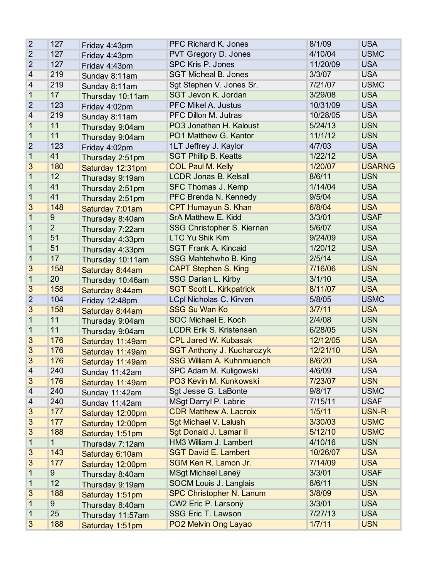| $\overline{2}$          | 127            | Friday 4:43pm    | <b>PFC Richard K. Jones</b>      | 8/1/09   | <b>USA</b>    |
|-------------------------|----------------|------------------|----------------------------------|----------|---------------|
| $\overline{2}$          | 127            | Friday 4:43pm    | PVT Gregory D. Jones             | 4/10/04  | <b>USMC</b>   |
| $\overline{2}$          | 127            | Friday 4:43pm    | SPC Kris P. Jones                | 11/20/09 | <b>USA</b>    |
| $\overline{\mathbf{4}}$ | 219            | Sunday 8:11am    | <b>SGT Micheal B. Jones</b>      | 3/3/07   | <b>USA</b>    |
| 4                       | 219            | Sunday 8:11am    | Sgt Stephen V. Jones Sr.         | 7/21/07  | <b>USMC</b>   |
| $\mathbf{1}$            | 17             | Thursday 10:11am | SGT Jevon K. Jordan              | 3/29/08  | <b>USA</b>    |
| $\overline{2}$          | 123            | Friday 4:02pm    | <b>PFC Mikel A. Justus</b>       | 10/31/09 | <b>USA</b>    |
| 4                       | 219            | Sunday 8:11am    | PFC Dillon M. Jutras             | 10/28/05 | <b>USA</b>    |
| $\overline{1}$          | 11             | Thursday 9:04am  | PO3 Jonathan H. Kaloust          | 5/24/13  | <b>USN</b>    |
| 1                       | 11             | Thursday 9:04am  | PO1 Matthew G. Kantor            | 11/1/12  | <b>USN</b>    |
| $\overline{2}$          | 123            | Friday 4:02pm    | 1LT Jeffrey J. Kaylor            | 4/7/03   | <b>USA</b>    |
| $\mathbf{1}$            | 41             | Thursday 2:51pm  | <b>SGT Phillip B. Keatts</b>     | 1/22/12  | <b>USA</b>    |
| 3                       | 180            | Saturday 12:31pm | <b>COL Paul M. Kelly</b>         | 1/20/07  | <b>USARNG</b> |
| 1                       | 12             | Thursday 9:19am  | <b>LCDR Jonas B. Kelsall</b>     | 8/6/11   | <b>USN</b>    |
| 1                       | 41             | Thursday 2:51pm  | SFC Thomas J. Kemp               | 1/14/04  | <b>USA</b>    |
| 1                       | 41             | Thursday 2:51pm  | PFC Brenda N. Kennedy            | 9/5/04   | <b>USA</b>    |
| 3                       | 148            | Saturday 7:01am  | CPT Humayun S. Khan              | 6/8/04   | <b>USA</b>    |
| 1                       | 9              | Thursday 8:40am  | SrA Matthew E. Kidd              | 3/3/01   | <b>USAF</b>   |
| 1                       | $\overline{2}$ | Thursday 7:22am  | SSG Christopher S. Kiernan       | 5/6/07   | <b>USA</b>    |
| 1                       | 51             | Thursday 4:33pm  | <b>LTC Yu Shik Kim</b>           | 9/24/09  | <b>USA</b>    |
| 1                       | 51             | Thursday 4:33pm  | <b>SGT Frank A. Kincaid</b>      | 1/20/12  | <b>USA</b>    |
| 1                       | 17             | Thursday 10:11am | SSG Mahtehwho B. King            | 2/5/14   | <b>USA</b>    |
| 3                       | 158            | Saturday 8:44am  | <b>CAPT Stephen S. King</b>      | 7/16/06  | <b>USN</b>    |
| $\mathbf{1}$            | 20             | Thursday 10:46am | <b>SSG Darian L. Kirby</b>       | 3/1/10   | <b>USA</b>    |
| 3                       | 158            | Saturday 8:44am  | <b>SGT Scott L. Kirkpatrick</b>  | 8/11/07  | <b>USA</b>    |
| $\overline{2}$          | 104            | Friday 12:48pm   | LCpl Nicholas C. Kirven          | 5/8/05   | <b>USMC</b>   |
| 3                       | 158            | Saturday 8:44am  | <b>SSG Su Wan Ko</b>             | 3/7/11   | <b>USA</b>    |
| 1                       | 11             | Thursday 9:04am  | <b>SOC Michael E. Koch</b>       | 2/4/08   | <b>USN</b>    |
| 1                       | 11             | Thursday 9:04am  | <b>LCDR Erik S. Kristensen</b>   | 6/28/05  | <b>USN</b>    |
| 3                       | 176            | Saturday 11:49am | <b>CPL Jared W. Kubasak</b>      | 12/12/05 | <b>USA</b>    |
| 3                       | 176            | Saturday 11:49am | <b>SGT Anthony J. Kucharczyk</b> | 12/21/10 | <b>USA</b>    |
| 3                       | 176            | Saturday 11:49am | <b>SSG William A. Kuhnmuench</b> | 8/6/20   | <b>USA</b>    |
| 4                       | 240            | Sunday 11:42am   | SPC Adam M. Kuligowski           | 4/6/09   | <b>USA</b>    |
| 3                       | 176            | Saturday 11:49am | PO3 Kevin M. Kunkowski           | 7/23/07  | <b>USN</b>    |
| 4                       | 240            | Sunday 11:42am   | Sgt Jesse G. LaBonte             | 9/8/17   | <b>USMC</b>   |
| 4                       | 240            | Sunday 11:42am   | MSgt Darryl P. Labrie            | 7/15/11  | <b>USAF</b>   |
| 3                       | 177            | Saturday 12:00pm | <b>CDR Matthew A. Lacroix</b>    | 1/5/11   | USN-R         |
| 3                       | 177            | Saturday 12:00pm | <b>Sgt Michael V. Lalush</b>     | 3/30/03  | <b>USMC</b>   |
| 3                       | 188            | Saturday 1:51pm  | Sgt Donald J. Lamar II           | 5/12/10  | <b>USMC</b>   |
| 1                       | 1              | Thursday 7:12am  | HM3 William J. Lambert           | 4/10/16  | <b>USN</b>    |
| 3                       | 143            | Saturday 6:10am  | <b>SGT David E. Lambert</b>      | 10/26/07 | <b>USA</b>    |
| 3                       | 177            | Saturday 12:00pm | SGM Ken R. Lamon Jr.             | 7/14/09  | <b>USA</b>    |
| 1                       | $\overline{9}$ | Thursday 8:40am  | <b>MSgt Michael Laney</b>        | 3/3/01   | <b>USAF</b>   |
| 1                       | 12             | Thursday 9:19am  | SOCM Louis J. Langlais           | 8/6/11   | <b>USN</b>    |
| 3                       | 188            | Saturday 1:51pm  | <b>SPC Christopher N. Lanum</b>  | 3/8/09   | <b>USA</b>    |
| 1                       | $\overline{9}$ | Thursday 8:40am  | CW2 Eric P. Larsonÿ              | 3/3/01   | <b>USA</b>    |
| 1                       | 25             | Thursday 11:57am | SSG Eric T. Lawson               | 7/27/13  | <b>USA</b>    |
| 3                       | 188            | Saturday 1:51pm  | PO2 Melvin Ong Layao             | 1/7/11   | <b>USN</b>    |
|                         |                |                  |                                  |          |               |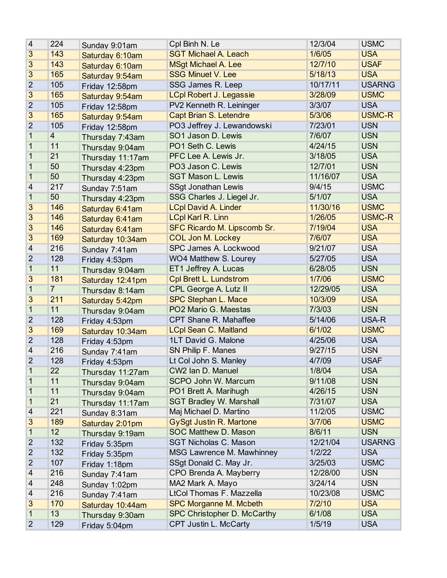| 4              | 224            | Sunday 9:01am    | Cpl Binh N. Le                     | 12/3/04  | <b>USMC</b>   |
|----------------|----------------|------------------|------------------------------------|----------|---------------|
| 3              | 143            | Saturday 6:10am  | <b>SGT Michael A. Leach</b>        | 1/6/05   | <b>USA</b>    |
| 3              | 143            | Saturday 6:10am  | <b>MSgt Michael A. Lee</b>         | 12/7/10  | <b>USAF</b>   |
| 3              | 165            | Saturday 9:54am  | <b>SSG Minuet V. Lee</b>           | 5/18/13  | <b>USA</b>    |
| $\overline{2}$ | 105            | Friday 12:58pm   | SSG James R. Leep                  | 10/17/11 | <b>USARNG</b> |
| 3              | 165            | Saturday 9:54am  | <b>LCpl Robert J. Legassie</b>     | 3/28/09  | <b>USMC</b>   |
| $\overline{2}$ | 105            | Friday 12:58pm   | PV2 Kenneth R. Leininger           | 3/3/07   | <b>USA</b>    |
| 3              | 165            | Saturday 9:54am  | <b>Capt Brian S. Letendre</b>      | 5/3/06   | <b>USMC-R</b> |
| $\overline{2}$ | 105            | Friday 12:58pm   | PO3 Jeffrey J. Lewandowski         | 7/23/01  | <b>USN</b>    |
| 1              | $\overline{4}$ | Thursday 7:43am  | SO1 Jason D. Lewis                 | 7/6/07   | <b>USN</b>    |
| 1              | 11             | Thursday 9:04am  | PO1 Seth C. Lewis                  | 4/24/15  | <b>USN</b>    |
| 1              | 21             | Thursday 11:17am | PFC Lee A. Lewis Jr.               | 3/18/05  | <b>USA</b>    |
| 1              | 50             | Thursday 4:23pm  | PO3 Jason C. Lewis                 | 12/7/01  | <b>USN</b>    |
| 1              | 50             | Thursday 4:23pm  | <b>SGT Mason L. Lewis</b>          | 11/16/07 | <b>USA</b>    |
| 4              | 217            | Sunday 7:51am    | <b>SSgt Jonathan Lewis</b>         | 9/4/15   | <b>USMC</b>   |
| 1              | 50             | Thursday 4:23pm  | SSG Charles J. Liegel Jr.          | 5/1/07   | <b>USA</b>    |
| 3              | 146            | Saturday 6:41am  | <b>LCpl David A. Linder</b>        | 11/30/16 | <b>USMC</b>   |
| 3              | 146            | Saturday 6:41am  | <b>LCpl Karl R. Linn</b>           | 1/26/05  | <b>USMC-R</b> |
| 3              | 146            | Saturday 6:41am  | <b>SFC Ricardo M. Lipscomb Sr.</b> | 7/19/04  | <b>USA</b>    |
| 3              | 169            | Saturday 10:34am | <b>COL Jon M. Lockey</b>           | 7/6/07   | <b>USA</b>    |
| 4              | 216            | Sunday 7:41am    | SPC James A. Lockwood              | 9/21/07  | <b>USA</b>    |
| $\overline{2}$ | 128            | Friday 4:53pm    | WO4 Matthew S. Lourey              | 5/27/05  | <b>USA</b>    |
| $\mathbf 1$    | 11             | Thursday 9:04am  | ET1 Jeffrey A. Lucas               | 6/28/05  | <b>USN</b>    |
| 3              | 181            | Saturday 12:41pm | <b>Cpl Brett L. Lundstrom</b>      | 1/7/06   | <b>USMC</b>   |
| 1              | $\overline{7}$ | Thursday 8:14am  | CPL George A. Lutz II              | 12/29/05 | <b>USA</b>    |
| 3              | 211            | Saturday 5:42pm  | <b>SPC Stephan L. Mace</b>         | 10/3/09  | <b>USA</b>    |
| $\mathbf{1}$   | 11             | Thursday 9:04am  | PO2 Mario G. Maestas               | 7/3/03   | <b>USN</b>    |
| $\overline{2}$ | 128            | Friday 4:53pm    | CPT Shane R. Mahaffee              | 5/14/06  | USA-R         |
| 3              | 169            | Saturday 10:34am | <b>LCpl Sean C. Maitland</b>       | 6/1/02   | <b>USMC</b>   |
| $\overline{2}$ | 128            | Friday 4:53pm    | 1LT David G. Malone                | 4/25/06  | <b>USA</b>    |
| 4              | 216            | Sunday 7:41am    | SN Philip F. Manes                 | 9/27/15  | <b>USN</b>    |
| $\overline{2}$ | 128            | Friday 4:53pm    | Lt Col John S. Manley              | 4/7/09   | <b>USAF</b>   |
| 1              | 22             | Thursday 11:27am | CW2 Ian D. Manuel                  | 1/8/04   | <b>USA</b>    |
| 1              | 11             | Thursday 9:04am  | SCPO John W. Marcum                | 9/11/08  | <b>USN</b>    |
| 1              | 11             | Thursday 9:04am  | PO1 Brett A. Marihugh              | 4/26/15  | <b>USN</b>    |
| 1              | 21             | Thursday 11:17am | <b>SGT Bradley W. Marshall</b>     | 7/31/07  | <b>USA</b>    |
| 4              | 221            | Sunday 8:31am    | Maj Michael D. Martino             | 11/2/05  | <b>USMC</b>   |
| 3              | 189            | Saturday 2:01pm  | <b>GySgt Justin R. Martone</b>     | 3/7/06   | <b>USMC</b>   |
| $\mathbf{1}$   | 12             | Thursday 9:19am  | <b>SOC Matthew D. Mason</b>        | 8/6/11   | <b>USN</b>    |
| $\overline{2}$ | 132            | Friday 5:35pm    | <b>SGT Nicholas C. Mason</b>       | 12/21/04 | <b>USARNG</b> |
| $\overline{2}$ | 132            | Friday 5:35pm    | MSG Lawrence M. Mawhinney          | 1/2/22   | <b>USA</b>    |
| $\overline{2}$ | 107            | Friday 1:18pm    | SSgt Donald C. May Jr.             | 3/25/03  | <b>USMC</b>   |
| 4              | 216            | Sunday 7:41am    | CPO Brenda A. Mayberry             | 12/28/00 | <b>USN</b>    |
| 4              | 248            | Sunday 1:02pm    | MA2 Mark A. Mayo                   | 3/24/14  | <b>USN</b>    |
| 4              | 216            | Sunday 7:41am    | LtCol Thomas F. Mazzella           | 10/23/08 | <b>USMC</b>   |
| 3              | 170            | Saturday 10:44am | <b>SPC Morganne M. Mcbeth</b>      | 7/2/10   | <b>USA</b>    |
| 1              | 13             | Thursday 9:30am  | SPC Christopher D. McCarthy        | 6/1/08   | <b>USA</b>    |
| $\overline{2}$ | 129            | Friday 5:04pm    | CPT Justin L. McCarty              | 1/5/19   | <b>USA</b>    |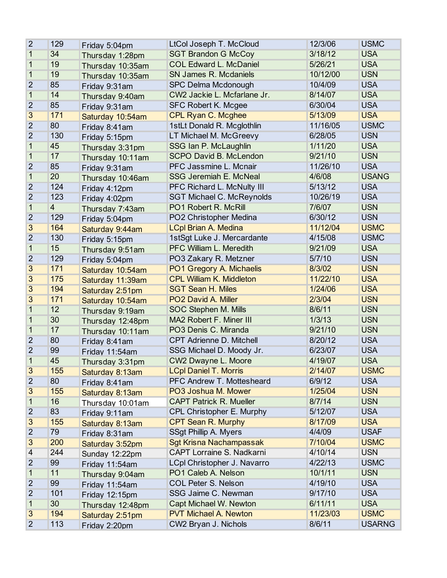| $\overline{2}$ | 129            | Friday 5:04pm    | LtCol Joseph T. McCloud          | 12/3/06  | <b>USMC</b>   |
|----------------|----------------|------------------|----------------------------------|----------|---------------|
| 1              | 34             | Thursday 1:28pm  | <b>SGT Brandon G McCoy</b>       | 3/18/12  | <b>USA</b>    |
| 1              | 19             | Thursday 10:35am | <b>COL Edward L. McDaniel</b>    | 5/26/21  | <b>USA</b>    |
| 1              | 19             | Thursday 10:35am | <b>SN James R. Mcdaniels</b>     | 10/12/00 | <b>USN</b>    |
| $\overline{2}$ | 85             | Friday 9:31am    | <b>SPC Delma Mcdonough</b>       | 10/4/09  | <b>USA</b>    |
| 1              | 14             | Thursday 9:40am  | CW2 Jackie L. Mcfarlane Jr.      | 8/14/07  | <b>USA</b>    |
| 2              | 85             | Friday 9:31am    | SFC Robert K. Mcgee              | 6/30/04  | <b>USA</b>    |
| $\overline{3}$ | 171            | Saturday 10:54am | <b>CPL Ryan C. Mcghee</b>        | 5/13/09  | <b>USA</b>    |
| $\overline{2}$ | 80             | Friday 8:41am    | 1stLt Donald R. Mcglothlin       | 11/16/05 | <b>USMC</b>   |
| $\overline{2}$ | 130            | Friday 5:15pm    | LT Michael M. McGreevy           | 6/28/05  | <b>USN</b>    |
| 1              | 45             | Thursday 3:31pm  | SSG Ian P. McLaughlin            | 1/11/20  | <b>USA</b>    |
| 1              | 17             | Thursday 10:11am | <b>SCPO David B. McLendon</b>    | 9/21/10  | <b>USN</b>    |
| 2              | 85             | Friday 9:31am    | PFC Jassmine L. Mcnair           | 11/26/10 | <b>USA</b>    |
| 1              | 20             | Thursday 10:46am | <b>SSG Jeremiah E. McNeal</b>    | 4/6/08   | <b>USANG</b>  |
| $\overline{2}$ | 124            | Friday 4:12pm    | PFC Richard L. McNulty III       | 5/13/12  | <b>USA</b>    |
| $\overline{2}$ | 123            | Friday 4:02pm    | <b>SGT Michael C. McReynolds</b> | 10/26/19 | <b>USA</b>    |
| 1              | $\overline{4}$ | Thursday 7:43am  | PO1 Robert R. McRill             | 7/6/07   | <b>USN</b>    |
| $\overline{2}$ | 129            | Friday 5:04pm    | PO2 Christopher Medina           | 6/30/12  | <b>USN</b>    |
| $\overline{3}$ | 164            | Saturday 9:44am  | <b>LCpl Brian A. Medina</b>      | 11/12/04 | <b>USMC</b>   |
| $\overline{2}$ | 130            | Friday 5:15pm    | 1stSgt Luke J. Mercardante       | 4/15/08  | <b>USMC</b>   |
| 1              | 15             | Thursday 9:51am  | <b>PFC William L. Meredith</b>   | 9/21/09  | <b>USA</b>    |
| $\overline{2}$ | 129            | Friday 5:04pm    | PO3 Zakary R. Metzner            | 5/7/10   | <b>USN</b>    |
| 3              | 171            | Saturday 10:54am | PO1 Gregory A. Michaelis         | 8/3/02   | <b>USN</b>    |
| $\overline{3}$ | 175            | Saturday 11:39am | <b>CPL William K. Middleton</b>  | 11/22/10 | <b>USA</b>    |
| $\overline{3}$ | 194            | Saturday 2:51pm  | <b>SGT Sean H. Miles</b>         | 1/24/06  | <b>USA</b>    |
| 3              | 171            | Saturday 10:54am | PO2 David A. Miller              | 2/3/04   | <b>USN</b>    |
| 1              | 12             | Thursday 9:19am  | SOC Stephen M. Mills             | 8/6/11   | <b>USN</b>    |
| 1              | 30             | Thursday 12:48pm | MA2 Robert F. Miner III          | 1/3/13   | <b>USN</b>    |
| 1              | 17             | Thursday 10:11am | PO3 Denis C. Miranda             | 9/21/10  | <b>USN</b>    |
| $\overline{2}$ | 80             | Friday 8:41am    | <b>CPT Adrienne D. Mitchell</b>  | 8/20/12  | <b>USA</b>    |
| $\overline{2}$ | 99             | Friday 11:54am   | SSG Michael D. Moody Jr.         | 6/23/07  | <b>USA</b>    |
| 1              | 45             | Thursday 3:31pm  | CW2 Dwayne L. Moore              | 4/19/07  | <b>USA</b>    |
| 3              | 155            | Saturday 8:13am  | <b>LCpl Daniel T. Morris</b>     | 2/14/07  | <b>USMC</b>   |
| $\overline{2}$ | 80             | Friday 8:41am    | PFC Andrew T. Mottesheard        | 6/9/12   | <b>USA</b>    |
| 3              | 155            | Saturday 8:13am  | PO3 Joshua M. Mower              | 1/25/04  | <b>USN</b>    |
| 1              | 16             | Thursday 10:01am | <b>CAPT Patrick R. Mueller</b>   | 8/7/14   | <b>USN</b>    |
| 2              | 83             | Friday 9:11am    | CPL Christopher E. Murphy        | 5/12/07  | <b>USA</b>    |
| 3              | 155            | Saturday 8:13am  | <b>CPT Sean R. Murphy</b>        | 8/17/09  | <b>USA</b>    |
| $\overline{2}$ | 79             | Friday 8:31am    | SSgt Phillip A. Myers            | 4/4/09   | <b>USAF</b>   |
| 3              | 200            | Saturday 3:52pm  | <b>Sgt Krisna Nachampassak</b>   | 7/10/04  | <b>USMC</b>   |
| 4              | 244            | Sunday 12:22pm   | CAPT Lorraine S. Nadkarni        | 4/10/14  | <b>USN</b>    |
| 2              | 99             | Friday 11:54am   | LCpl Christopher J. Navarro      | 4/22/13  | <b>USMC</b>   |
| 1              | 11             | Thursday 9:04am  | PO1 Caleb A. Nelson              | 10/1/11  | <b>USN</b>    |
| $\overline{2}$ | 99             | Friday 11:54am   | <b>COL Peter S. Nelson</b>       | 4/19/10  | <b>USA</b>    |
| $\overline{2}$ | 101            | Friday 12:15pm   | SSG Jaime C. Newman              | 9/17/10  | <b>USA</b>    |
| 1              | 30             | Thursday 12:48pm | Capt Michael W. Newton           | 6/11/11  | <b>USA</b>    |
| 3              | 194            | Saturday 2:51pm  | <b>PVT Michael A. Newton</b>     | 11/23/03 | <b>USMC</b>   |
| $\overline{2}$ | 113            | Friday 2:20pm    | CW2 Bryan J. Nichols             | 8/6/11   | <b>USARNG</b> |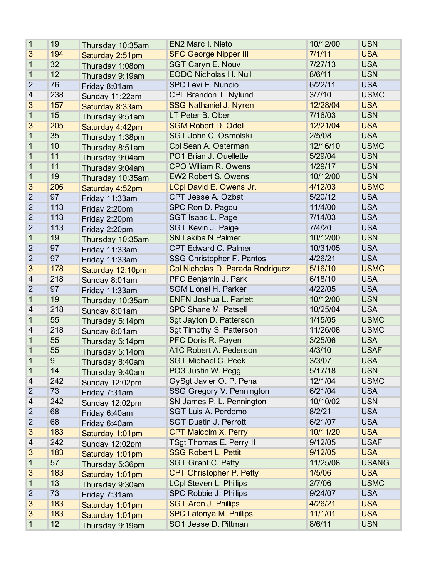| 1              | 19  | Thursday 10:35am | <b>EN2 Marc I. Nieto</b>         | 10/12/00 | <b>USN</b>   |
|----------------|-----|------------------|----------------------------------|----------|--------------|
| 3              | 194 | Saturday 2:51pm  | <b>SFC George Nipper III</b>     | 7/1/11   | <b>USA</b>   |
| 1              | 32  | Thursday 1:08pm  | <b>SGT Caryn E. Nouv</b>         | 7/27/13  | <b>USA</b>   |
| 1              | 12  | Thursday 9:19am  | <b>EODC Nicholas H. Null</b>     | 8/6/11   | <b>USN</b>   |
| $\overline{2}$ | 76  | Friday 8:01am    | SPC Levi E. Nuncio               | 6/22/11  | <b>USA</b>   |
| 4              | 238 | Sunday 11:22am   | CPL Brandon T. Nylund            | 3/7/10   | <b>USMC</b>  |
| 3              | 157 | Saturday 8:33am  | <b>SSG Nathaniel J. Nyren</b>    | 12/28/04 | <b>USA</b>   |
| $\mathbf 1$    | 15  | Thursday 9:51am  | LT Peter B. Ober                 | 7/16/03  | <b>USN</b>   |
| 3              | 205 | Saturday 4:42pm  | <b>SGM Robert D. Odell</b>       | 12/21/04 | <b>USA</b>   |
| 1              | 35  | Thursday 1:38pm  | SGT John C. Osmolski             | 2/5/08   | <b>USA</b>   |
| 1              | 10  | Thursday 8:51am  | Cpl Sean A. Osterman             | 12/16/10 | <b>USMC</b>  |
| 1              | 11  | Thursday 9:04am  | PO1 Brian J. Ouellette           | 5/29/04  | <b>USN</b>   |
| 1              | 11  | Thursday 9:04am  | <b>CPO William R. Owens</b>      | 1/29/17  | <b>USN</b>   |
| 1              | 19  | Thursday 10:35am | <b>EW2 Robert S. Owens</b>       | 10/12/00 | <b>USN</b>   |
| 3              | 206 | Saturday 4:52pm  | LCpl David E. Owens Jr.          | 4/12/03  | <b>USMC</b>  |
| $\overline{2}$ | 97  | Friday 11:33am   | CPT Jesse A. Ozbat               | 5/20/12  | <b>USA</b>   |
| $\overline{2}$ | 113 | Friday 2:20pm    | SPC Ron D. Pagcu                 | 11/4/00  | <b>USA</b>   |
| $\overline{2}$ | 113 | Friday 2:20pm    | SGT Isaac L. Page                | 7/14/03  | <b>USA</b>   |
| $\overline{2}$ | 113 | Friday 2:20pm    | SGT Kevin J. Paige               | 7/4/20   | <b>USA</b>   |
| 1              | 19  | Thursday 10:35am | <b>SN Lakiba N.Palmer</b>        | 10/12/00 | <b>USN</b>   |
| $\overline{2}$ | 97  | Friday 11:33am   | CPT Edward C. Palmer             | 10/31/05 | <b>USA</b>   |
| $\overline{2}$ | 97  | Friday 11:33am   | SSG Christopher F. Pantos        | 4/26/21  | <b>USA</b>   |
| 3              | 178 | Saturday 12:10pm | Cpl Nicholas D. Parada Rodriguez | 5/16/10  | <b>USMC</b>  |
| 4              | 218 | Sunday 8:01am    | PFC Benjamin J. Park             | 6/18/10  | <b>USA</b>   |
| $\overline{2}$ | 97  | Friday 11:33am   | <b>SGM Lionel H. Parker</b>      | 4/22/05  | <b>USA</b>   |
| $\mathbf{1}$   | 19  | Thursday 10:35am | <b>ENFN Joshua L. Parlett</b>    | 10/12/00 | <b>USN</b>   |
| 4              | 218 | Sunday 8:01am    | SPC Shane M. Patsell             | 10/25/04 | <b>USA</b>   |
| 1              | 55  | Thursday 5:14pm  | Sgt Jayton D. Patterson          | 1/15/05  | <b>USMC</b>  |
| 4              | 218 | Sunday 8:01am    | Sgt Timothy S. Patterson         | 11/26/08 | <b>USMC</b>  |
| 1              | 55  | Thursday 5:14pm  | PFC Doris R. Payen               | 3/25/06  | <b>USA</b>   |
| 1              | 55  | Thursday 5:14pm  | A1C Robert A. Pederson           | 4/3/10   | <b>USAF</b>  |
| 1              | 9   | Thursday 8:40am  | <b>SGT Michael C. Peek</b>       | 3/3/07   | <b>USA</b>   |
| 1              | 14  | Thursday 9:40am  | PO3 Justin W. Pegg               | 5/17/18  | <b>USN</b>   |
| 4              | 242 | Sunday 12:02pm   | GySgt Javier O. P. Pena          | 12/1/04  | <b>USMC</b>  |
| $\overline{2}$ | 73  | Friday 7:31am    | SSG Gregory V. Pennington        | 6/21/04  | <b>USA</b>   |
| 4              | 242 | Sunday 12:02pm   | SN James P. L. Pennington        | 10/10/02 | <b>USN</b>   |
| $\overline{2}$ | 68  | Friday 6:40am    | SGT Luis A. Perdomo              | 8/2/21   | <b>USA</b>   |
| $\overline{2}$ | 68  | Friday 6:40am    | <b>SGT Dustin J. Perrott</b>     | 6/21/07  | <b>USA</b>   |
| 3              | 183 | Saturday 1:01pm  | <b>CPT Malcolm X. Perry</b>      | 10/11/20 | <b>USA</b>   |
| 4              | 242 | Sunday 12:02pm   | TSgt Thomas E. Perry II          | 9/12/05  | <b>USAF</b>  |
| 3              | 183 | Saturday 1:01pm  | <b>SSG Robert L. Pettit</b>      | 9/12/05  | <b>USA</b>   |
| 1              | 57  | Thursday 5:36pm  | <b>SGT Grant C. Petty</b>        | 11/25/08 | <b>USANG</b> |
| 3              | 183 | Saturday 1:01pm  | <b>CPT Christopher P. Petty</b>  | 1/5/06   | <b>USA</b>   |
| 1              | 13  | Thursday 9:30am  | <b>LCpl Steven L. Phillips</b>   | 2/7/06   | <b>USMC</b>  |
| $\overline{2}$ | 73  | Friday 7:31am    | SPC Robbie J. Phillips           | 9/24/07  | <b>USA</b>   |
| 3              | 183 | Saturday 1:01pm  | <b>SGT Aron J. Phillips</b>      | 4/26/21  | <b>USA</b>   |
| 3              | 183 | Saturday 1:01pm  | <b>SPC Latonya M. Phillips</b>   | 11/1/01  | <b>USA</b>   |
| $\mathbf 1$    | 12  | Thursday 9:19am  | SO1 Jesse D. Pittman             | 8/6/11   | <b>USN</b>   |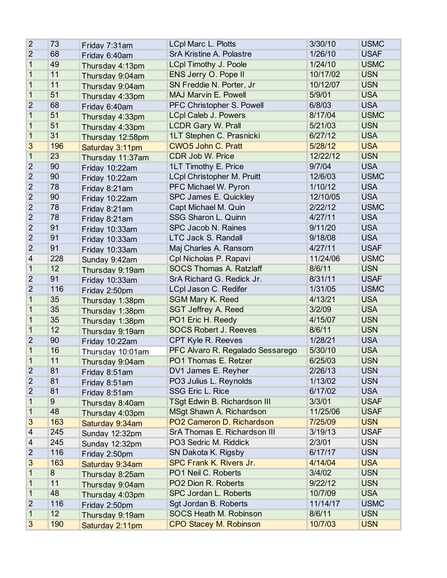| $\overline{2}$          | 73  | Friday 7:31am    | <b>LCpl Marc L. Plotts</b>          | 3/30/10  | <b>USMC</b> |
|-------------------------|-----|------------------|-------------------------------------|----------|-------------|
| $\overline{2}$          | 68  | Friday 6:40am    | SrA Kristine A. Polastre            | 1/26/10  | <b>USAF</b> |
| 1                       | 49  | Thursday 4:13pm  | <b>LCpl Timothy J. Poole</b>        | 1/24/10  | <b>USMC</b> |
| 1                       | 11  | Thursday 9:04am  | ENS Jerry O. Pope II                | 10/17/02 | <b>USN</b>  |
| 1                       | 11  | Thursday 9:04am  | SN Freddie N. Porter, Jr            | 10/12/07 | <b>USN</b>  |
| $\mathbf{1}$            | 51  | Thursday 4:33pm  | <b>MAJ Marvin E. Powell</b>         | 5/9/01   | <b>USA</b>  |
| $\overline{2}$          | 68  | Friday 6:40am    | PFC Christopher S. Powell           | 6/8/03   | <b>USA</b>  |
| 1                       | 51  | Thursday 4:33pm  | <b>LCpl Caleb J. Powers</b>         | 8/17/04  | <b>USMC</b> |
| 1                       | 51  | Thursday 4:33pm  | <b>LCDR Gary W. Prall</b>           | 5/21/03  | <b>USN</b>  |
| 1                       | 31  | Thursday 12:58pm | 1LT Stephen C. Prasnicki            | 6/27/12  | <b>USA</b>  |
| 3                       | 196 | Saturday 3:11pm  | <b>CWO5 John C. Pratt</b>           | 5/28/12  | <b>USA</b>  |
| $\mathbf{1}$            | 23  | Thursday 11:37am | CDR Job W. Price                    | 12/22/12 | <b>USN</b>  |
| $\overline{2}$          | 90  | Friday 10:22am   | 1LT Timothy E. Price                | 9/7/04   | <b>USA</b>  |
| $\overline{2}$          | 90  | Friday 10:22am   | <b>LCpl Christopher M. Pruitt</b>   | 12/6/03  | <b>USMC</b> |
| $\overline{2}$          | 78  | Friday 8:21am    | PFC Michael W. Pyron                | 1/10/12  | <b>USA</b>  |
| $\overline{2}$          | 90  | Friday 10:22am   | SPC James E. Quickley               | 12/10/05 | <b>USA</b>  |
| $\overline{2}$          | 78  | Friday 8:21am    | Capt Michael M. Quin                | 2/22/12  | <b>USMC</b> |
| $\overline{2}$          | 78  | Friday 8:21am    | SSG Sharon L. Quinn                 | 4/27/11  | <b>USA</b>  |
| $\overline{2}$          | 91  | Friday 10:33am   | SPC Jacob N. Raines                 | 9/11/20  | <b>USA</b>  |
| $\overline{2}$          | 91  | Friday 10:33am   | <b>LTC Jack S. Randall</b>          | 9/18/08  | <b>USA</b>  |
| $\overline{2}$          | 91  | Friday 10:33am   | Maj Charles A. Ransom               | 4/27/11  | <b>USAF</b> |
| $\overline{\mathbf{4}}$ | 228 | Sunday 9:42am    | Cpl Nicholas P. Rapavi              | 11/24/06 | <b>USMC</b> |
| $\mathbf{1}$            | 12  | Thursday 9:19am  | <b>SOCS Thomas A. Ratzlaff</b>      | 8/6/11   | <b>USN</b>  |
| $\overline{2}$          | 91  | Friday 10:33am   | SrA Richard G. Redick Jr.           | 8/31/11  | <b>USAF</b> |
| $\overline{2}$          | 116 | Friday 2:50pm    | LCpl Jason C. Redifer               | 1/31/05  | <b>USMC</b> |
| 1                       | 35  | Thursday 1:38pm  | <b>SGM Mary K. Reed</b>             | 4/13/21  | <b>USA</b>  |
| 1                       | 35  | Thursday 1:38pm  | <b>SGT Jeffrey A. Reed</b>          | 3/2/09   | <b>USA</b>  |
| 1                       | 35  | Thursday 1:38pm  | PO1 Eric H. Reedy                   | 4/15/07  | <b>USN</b>  |
| 1                       | 12  | Thursday 9:19am  | <b>SOCS Robert J. Reeves</b>        | 8/6/11   | <b>USN</b>  |
| $\overline{2}$          | 90  | Friday 10:22am   | CPT Kyle R. Reeves                  | 1/28/21  | <b>USA</b>  |
| 1                       | 16  | Thursday 10:01am | PFC Alvaro R. Regalado Sessarego    | 5/30/10  | <b>USA</b>  |
| 1                       | 11  | Thursday 9:04am  | PO1 Thomas E. Retzer                | 6/25/03  | <b>USN</b>  |
| $\overline{2}$          | 81  | Friday 8:51am    | DV1 James E. Reyher                 | 2/26/13  | <b>USN</b>  |
| $\overline{2}$          | 81  | Friday 8:51am    | PO3 Julius L. Reynolds              | 1/13/02  | <b>USN</b>  |
| $\overline{2}$          | 81  | Friday 8:51am    | SSG Eric L. Rice                    | 6/17/02  | <b>USA</b>  |
| 1                       | 9   | Thursday 8:40am  | <b>TSgt Edwin B. Richardson III</b> | 3/3/01   | <b>USAF</b> |
| 1                       | 48  | Thursday 4:03pm  | MSgt Shawn A. Richardson            | 11/25/06 | <b>USAF</b> |
| 3                       | 163 | Saturday 9:34am  | PO2 Cameron D. Richardson           | 7/25/09  | <b>USN</b>  |
| 4                       | 245 | Sunday 12:32pm   | SrA Thomas E. Richardson III        | 3/19/13  | <b>USAF</b> |
| 4                       | 245 | Sunday 12:32pm   | PO3 Sedric M. Riddick               | 2/3/01   | <b>USN</b>  |
| $\overline{2}$          | 116 | Friday 2:50pm    | SN Dakota K. Rigsby                 | 6/17/17  | <b>USN</b>  |
| 3                       | 163 | Saturday 9:34am  | <b>SPC Frank K. Rivers Jr.</b>      | 4/14/04  | <b>USA</b>  |
| 1                       | 8   | Thursday 8:25am  | PO1 Neil C. Roberts                 | 3/4/02   | <b>USN</b>  |
| 1                       | 11  | Thursday 9:04am  | PO2 Dion R. Roberts                 | 9/22/12  | <b>USN</b>  |
| 1                       | 48  | Thursday 4:03pm  | SPC Jordan L. Roberts               | 10/7/09  | <b>USA</b>  |
| 2                       | 116 | Friday 2:50pm    | Sgt Jordan B. Roberts               | 11/14/17 | <b>USMC</b> |
| 1                       | 12  | Thursday 9:19am  | <b>SOCS Heath M. Robinson</b>       | 8/6/11   | <b>USN</b>  |
| 3                       | 190 | Saturday 2:11pm  | <b>CPO Stacey M. Robinson</b>       | 10/7/03  | <b>USN</b>  |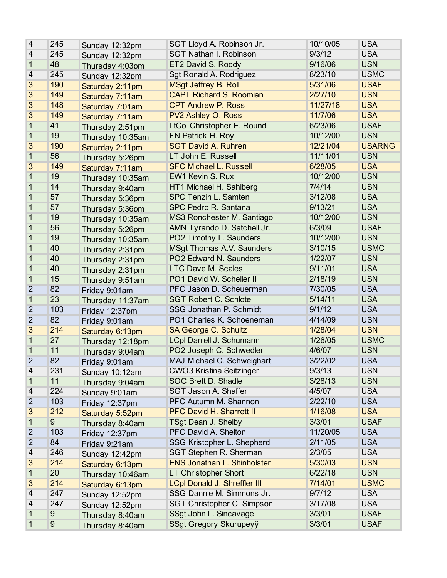| 4              | 245 | Sunday 12:32pm   | SGT Lloyd A. Robinson Jr.           | 10/10/05 | <b>USA</b>    |
|----------------|-----|------------------|-------------------------------------|----------|---------------|
| 4              | 245 | Sunday 12:32pm   | <b>SGT Nathan I. Robinson</b>       | 9/3/12   | <b>USA</b>    |
| 1              | 48  | Thursday 4:03pm  | ET2 David S. Roddy                  | 9/16/06  | <b>USN</b>    |
| $\overline{4}$ | 245 | Sunday 12:32pm   | Sgt Ronald A. Rodriguez             | 8/23/10  | <b>USMC</b>   |
| 3              | 190 | Saturday 2:11pm  | <b>MSgt Jeffrey B. Roll</b>         | 5/31/06  | <b>USAF</b>   |
| 3              | 149 | Saturday 7:11am  | <b>CAPT Richard S. Roomian</b>      | 2/27/10  | <b>USN</b>    |
| 3              | 148 | Saturday 7:01am  | <b>CPT Andrew P. Ross</b>           | 11/27/18 | <b>USA</b>    |
| 3              | 149 | Saturday 7:11am  | PV2 Ashley O. Ross                  | 11/7/06  | <b>USA</b>    |
| 1              | 41  | Thursday 2:51pm  | <b>LtCol Christopher E. Round</b>   | 6/23/06  | <b>USAF</b>   |
| 1              | 19  | Thursday 10:35am | FN Patrick H. Roy                   | 10/12/00 | <b>USN</b>    |
| 3              | 190 | Saturday 2:11pm  | <b>SGT David A. Ruhren</b>          | 12/21/04 | <b>USARNG</b> |
| 1              | 56  | Thursday 5:26pm  | LT John E. Russell                  | 11/11/01 | <b>USN</b>    |
| 3              | 149 | Saturday 7:11am  | <b>SFC Michael L. Russell</b>       | 6/28/05  | <b>USA</b>    |
| 1              | 19  | Thursday 10:35am | EW1 Kevin S. Rux                    | 10/12/00 | <b>USN</b>    |
| 1              | 14  | Thursday 9:40am  | HT1 Michael H. Sahlberg             | 7/4/14   | <b>USN</b>    |
| 1              | 57  | Thursday 5:36pm  | <b>SPC Tenzin L. Samten</b>         | 3/12/08  | <b>USA</b>    |
| 1              | 57  | Thursday 5:36pm  | SPC Pedro R. Santana                | 9/13/21  | <b>USA</b>    |
| 1              | 19  | Thursday 10:35am | MS3 Ronchester M. Santiago          | 10/12/00 | <b>USN</b>    |
| 1              | 56  | Thursday 5:26pm  | AMN Tyrando D. Satchell Jr.         | 6/3/09   | <b>USAF</b>   |
| 1              | 19  | Thursday 10:35am | PO2 Timothy L. Saunders             | 10/12/00 | <b>USN</b>    |
| 1              | 40  | Thursday 2:31pm  | MSgt Thomas A.V. Saunders           | 3/10/15  | <b>USMC</b>   |
| 1              | 40  | Thursday 2:31pm  | PO2 Edward N. Saunders              | 1/22/07  | <b>USN</b>    |
| 1              | 40  | Thursday 2:31pm  | <b>LTC Dave M. Scales</b>           | 9/11/01  | <b>USA</b>    |
| 1              | 15  | Thursday 9:51am  | PO1 David W. Scheller II            | 2/18/19  | <b>USN</b>    |
| $\overline{2}$ | 82  | Friday 9:01am    | PFC Jason D. Scheuerman             | 7/30/05  | <b>USA</b>    |
| 1              | 23  | Thursday 11:37am | <b>SGT Robert C. Schlote</b>        | 5/14/11  | <b>USA</b>    |
| $\overline{2}$ | 103 | Friday 12:37pm   | SSG Jonathan P. Schmidt             | 9/1/12   | <b>USA</b>    |
| $\overline{2}$ | 82  | Friday 9:01am    | PO1 Charles K. Schoeneman           | 4/14/09  | <b>USN</b>    |
| 3              | 214 | Saturday 6:13pm  | <b>SA George C. Schultz</b>         | 1/28/04  | <b>USN</b>    |
| 1              | 27  | Thursday 12:18pm | <b>LCpl Darrell J. Schumann</b>     | 1/26/05  | <b>USMC</b>   |
| 1              | 11  | Thursday 9:04am  | PO2 Joseph C. Schwedler             | 4/6/07   | <b>USN</b>    |
| $\overline{2}$ | 82  | Friday 9:01am    | MAJ Michael C. Schweighart          | 3/22/02  | <b>USA</b>    |
| 4              | 231 | Sunday 10:12am   | <b>CWO3 Kristina Seitzinger</b>     | 9/3/13   | <b>USN</b>    |
| 1              | 11  | Thursday 9:04am  | SOC Brett D. Shadle                 | 3/28/13  | <b>USN</b>    |
| 4              | 224 | Sunday 9:01am    | SGT Jason A. Shaffer                | 4/5/07   | <b>USA</b>    |
| 2              | 103 | Friday 12:37pm   | PFC Autumn M. Shannon               | 2/22/10  | <b>USA</b>    |
| 3              | 212 | Saturday 5:52pm  | <b>PFC David H. Sharrett II</b>     | 1/16/08  | <b>USA</b>    |
| 1              | 9   | Thursday 8:40am  | <b>TSgt Dean J. Shelby</b>          | 3/3/01   | <b>USAF</b>   |
| $\overline{2}$ | 103 | Friday 12:37pm   | PFC David A. Shelton                | 11/20/05 | <b>USA</b>    |
| $\overline{2}$ | 84  | Friday 9:21am    | SSG Kristopher L. Shepherd          | 2/11/05  | <b>USA</b>    |
| 4              | 246 | Sunday 12:42pm   | SGT Stephen R. Sherman              | 2/3/05   | <b>USA</b>    |
| 3              | 214 | Saturday 6:13pm  | <b>ENS Jonathan L. Shinholster</b>  | 5/30/03  | <b>USN</b>    |
| 1              | 20  | Thursday 10:46am | <b>LT Christopher Short</b>         | 6/22/18  | <b>USN</b>    |
| 3              | 214 | Saturday 6:13pm  | <b>LCpl Donald J. Shreffler III</b> | 7/14/01  | <b>USMC</b>   |
| 4              | 247 | Sunday 12:52pm   | SSG Dannie M. Simmons Jr.           | 9/7/12   | <b>USA</b>    |
| 4              | 247 | Sunday 12:52pm   | SGT Christopher C. Simpson          | 3/17/08  | <b>USA</b>    |
| 1              | 9   | Thursday 8:40am  | SSgt John L. Sincavage              | 3/3/01   | <b>USAF</b>   |
| 1              | 9   | Thursday 8:40am  | SSgt Gregory Skurupeyÿ              | 3/3/01   | <b>USAF</b>   |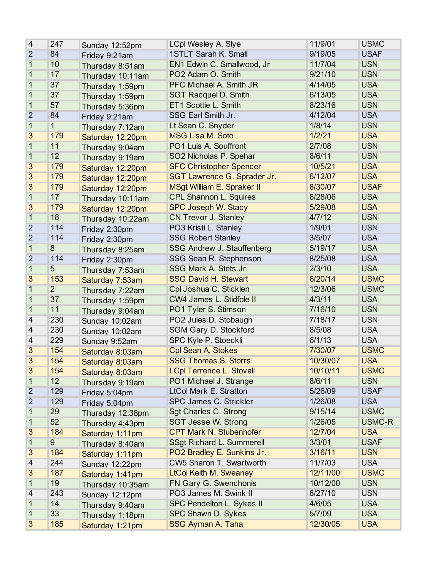| 4              | 247             | Sunday 12:52pm   | <b>LCpl Wesley A. Siye</b>        | 11/9/01  | <b>USMC</b> |
|----------------|-----------------|------------------|-----------------------------------|----------|-------------|
| $\overline{2}$ | 84              | Friday 9:21am    | 1STLT Sarah K. Small              | 9/19/05  | <b>USAF</b> |
| 1              | 10              | Thursday 8:51am  | EN1 Edwin C. Smallwood, Jr        | 11/7/04  | <b>USN</b>  |
| 1              | 17              | Thursday 10:11am | PO2 Adam O. Smith                 | 9/21/10  | <b>USN</b>  |
| 1              | 37              | Thursday 1:59pm  | PFC Michael A. Smith JR           | 4/14/05  | <b>USA</b>  |
| 1              | 37              | Thursday 1:59pm  | <b>SGT Racquel D. Smith</b>       | 6/13/05  | <b>USA</b>  |
| 1              | 57              | Thursday 5:36pm  | ET1 Scottie L. Smith              | 8/23/16  | <b>USN</b>  |
| $\overline{2}$ | 84              | Friday 9:21am    | SSG Earl Smith Jr.                | 4/12/04  | <b>USA</b>  |
| $\mathbf{1}$   | 1               | Thursday 7:12am  | Lt Sean C. Snyder                 | 1/8/14   | <b>USN</b>  |
| 3              | 179             | Saturday 12:20pm | <b>MSG Lisa M. Soto</b>           | 1/2/21   | <b>USA</b>  |
| $\mathbf{1}$   | 11              | Thursday 9:04am  | PO1 Luis A. Souffront             | 2/7/08   | <b>USN</b>  |
| $\mathbf{1}$   | 12              | Thursday 9:19am  | SO2 Nicholas P. Spehar            | 8/6/11   | <b>USN</b>  |
| 3              | 179             | Saturday 12:20pm | <b>SFC Christopher Spencer</b>    | 10/5/21  | <b>USA</b>  |
| 3              | 179             | Saturday 12:20pm | SGT Lawrence G. Sprader Jr.       | 6/12/07  | <b>USA</b>  |
| 3              | 179             | Saturday 12:20pm | <b>MSgt William E. Spraker II</b> | 8/30/07  | <b>USAF</b> |
| $\mathbf{1}$   | 17              | Thursday 10:11am | <b>CPL Shannon L. Squires</b>     | 8/28/06  | <b>USA</b>  |
| 3              | 179             | Saturday 12:20pm | <b>SPC Joseph W. Stacy</b>        | 5/29/08  | <b>USA</b>  |
| $\mathbf{1}$   | 18              | Thursday 10:22am | CN Trevor J. Stanley              | 4/7/12   | <b>USN</b>  |
| $\overline{2}$ | 114             | Friday 2:30pm    | PO3 Kristi L. Stanley             | 1/9/01   | <b>USN</b>  |
| $\overline{2}$ | 114             | Friday 2:30pm    | <b>SSG Robert Stanley</b>         | 3/5/07   | <b>USA</b>  |
| $\mathbf{1}$   | $\overline{8}$  | Thursday 8:25am  | SSG Andrew J. Stauffenberg        | 5/19/17  | <b>USA</b>  |
| $\overline{2}$ | 114             | Friday 2:30pm    | SSG Sean R. Stephenson            | 8/25/08  | <b>USA</b>  |
| $\mathbf{1}$   | 5               | Thursday 7:53am  | SSG Mark A. Stets Jr.             | 2/3/10   | <b>USA</b>  |
| 3              | 153             | Saturday 7:53am  | <b>SSG David H. Stewart</b>       | 6/20/14  | <b>USMC</b> |
| 1              | $\overline{2}$  | Thursday 7:22am  | Cpl Joshua C. Sticklen            | 12/3/06  | <b>USMC</b> |
| 1              | 37              | Thursday 1:59pm  | CW4 James L. Stidfole II          | 4/3/11   | <b>USA</b>  |
| 1              | 11              | Thursday 9:04am  | PO1 Tyler S. Stimson              | 7/16/10  | <b>USN</b>  |
| 4              | 230             | Sunday 10:02am   | PO2 Jules D. Stobaugh             | 7/18/17  | <b>USN</b>  |
| 4              | 230             | Sunday 10:02am   | <b>SGM Gary D. Stockford</b>      | 8/5/08   | <b>USA</b>  |
| 4              | 229             | Sunday 9:52am    | SPC Kyle P. Stoeckli              | 6/1/13   | <b>USA</b>  |
| 3              | 154             | Saturday 8:03am  | Cpl Sean A. Stokes                | 7/30/07  | <b>USMC</b> |
| 3              | 154             | Saturday 8:03am  | <b>SSG Thomas S. Storrs</b>       | 10/30/07 | <b>USA</b>  |
| 3              | 154             | Saturday 8:03am  | <b>LCpl Terrence L. Stovall</b>   | 10/10/11 | <b>USMC</b> |
| 1              | 12 <sub>2</sub> | Thursday 9:19am  | PO1 Michael J. Strange            | 8/6/11   | <b>USN</b>  |
| $\overline{2}$ | 129             | Friday 5:04pm    | LtCol Mark E. Stratton            | 5/26/09  | <b>USAF</b> |
| 2              | 129             | Friday 5:04pm    | SPC James C. Strickler            | 1/26/08  | <b>USA</b>  |
| 1              | 29              | Thursday 12:38pm | Sgt Charles C. Strong             | 9/15/14  | <b>USMC</b> |
| 1              | 52              | Thursday 4:43pm  | <b>SGT Jesse W. Strong</b>        | 1/26/05  | USMC-R      |
| 3              | 184             | Saturday 1:11pm  | <b>CPT Mark N. Stubenhofer</b>    | 12/7/04  | <b>USA</b>  |
| 1              | $\overline{9}$  | Thursday 8:40am  | <b>SSgt Richard L. Summerell</b>  | 3/3/01   | <b>USAF</b> |
| 3              | 184             | Saturday 1:11pm  | PO2 Bradley E. Sunkins Jr.        | 3/16/11  | <b>USN</b>  |
| 4              | 244             | Sunday 12:22pm   | CW5 Sharon T. Swartworth          | 11/7/03  | <b>USA</b>  |
| 3              | 187             | Saturday 1:41pm  | <b>LtCol Keith M. Sweaney</b>     | 12/11/00 | <b>USMC</b> |
| 1              | 19              | Thursday 10:35am | FN Gary G. Swenchonis             | 10/12/00 | <b>USN</b>  |
| 4              | 243             | Sunday 12:12pm   | PO3 James M. Swink II             | 8/27/10  | <b>USN</b>  |
| 1              | 14              | Thursday 9:40am  | SPC Pendelton L. Sykes II         | 4/6/05   | <b>USA</b>  |
| 1              | 33              | Thursday 1:18pm  | SPC Shawn D. Sykes                | 5/7/09   | <b>USA</b>  |
| 3              | 185             | Saturday 1:21pm  | <b>SSG Ayman A. Taha</b>          | 12/30/05 | <b>USA</b>  |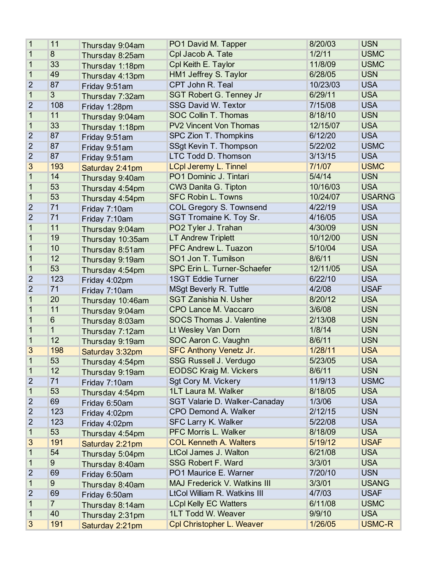| 1              | 11             | Thursday 9:04am  | PO1 David M. Tapper                 | 8/20/03  | <b>USN</b>    |
|----------------|----------------|------------------|-------------------------------------|----------|---------------|
| 1              | 8              | Thursday 8:25am  | Cpl Jacob A. Tate                   | 1/2/11   | <b>USMC</b>   |
| 1              | 33             | Thursday 1:18pm  | Cpl Keith E. Taylor                 | 11/8/09  | <b>USMC</b>   |
| 1              | 49             | Thursday 4:13pm  | HM1 Jeffrey S. Taylor               | 6/28/05  | <b>USN</b>    |
| $\overline{2}$ | 87             | Friday 9:51am    | CPT John R. Teal                    | 10/23/03 | <b>USA</b>    |
| $\mathbf{1}$   | $\overline{3}$ | Thursday 7:32am  | <b>SGT Robert G. Tenney Jr</b>      | 6/29/11  | <b>USA</b>    |
| $\overline{2}$ | 108            | Friday 1:28pm    | <b>SSG David W. Textor</b>          | 7/15/08  | <b>USA</b>    |
| 1              | 11             | Thursday 9:04am  | SOC Collin T. Thomas                | 8/18/10  | <b>USN</b>    |
| 1              | 33             | Thursday 1:18pm  | <b>PV2 Vincent Von Thomas</b>       | 12/15/07 | <b>USA</b>    |
| $\overline{2}$ | 87             | Friday 9:51am    | SPC Zion T. Thompkins               | 6/12/20  | <b>USA</b>    |
| $\overline{2}$ | 87             | Friday 9:51am    | SSgt Kevin T. Thompson              | 5/22/02  | <b>USMC</b>   |
| $\overline{2}$ | 87             | Friday 9:51am    | LTC Todd D. Thomson                 | 3/13/15  | <b>USA</b>    |
| 3              | 193            | Saturday 2:41pm  | <b>LCpl Jeremy L. Tinnel</b>        | 7/1/07   | <b>USMC</b>   |
| 1              | 14             | Thursday 9:40am  | PO1 Dominic J. Tintari              | 5/4/14   | <b>USN</b>    |
| 1              | 53             | Thursday 4:54pm  | CW3 Danita G. Tipton                | 10/16/03 | <b>USA</b>    |
| 1              | 53             | Thursday 4:54pm  | <b>SFC Robin L. Towns</b>           | 10/24/07 | <b>USARNG</b> |
| $\overline{2}$ | 71             | Friday 7:10am    | <b>COL Gregory S. Townsend</b>      | 4/22/19  | <b>USA</b>    |
| $\overline{2}$ | 71             | Friday 7:10am    | SGT Tromaine K. Toy Sr.             | 4/16/05  | <b>USA</b>    |
| 1              | 11             | Thursday 9:04am  | PO2 Tyler J. Trahan                 | 4/30/09  | <b>USN</b>    |
| 1              | 19             | Thursday 10:35am | <b>LT Andrew Triplett</b>           | 10/12/00 | <b>USN</b>    |
| 1              | 10             | Thursday 8:51am  | PFC Andrew L. Tuazon                | 5/10/04  | <b>USA</b>    |
| 1              | 12             | Thursday 9:19am  | SO1 Jon T. Tumilson                 | 8/6/11   | <b>USN</b>    |
| 1              | 53             | Thursday 4:54pm  | SPC Erin L. Turner-Schaefer         | 12/11/05 | <b>USA</b>    |
| $\overline{2}$ | 123            | Friday 4:02pm    | <b>1SGT Eddie Turner</b>            | 6/22/10  | <b>USA</b>    |
| $\overline{2}$ | 71             | Friday 7:10am    | <b>MSgt Beverly R. Tuttle</b>       | 4/2/08   | <b>USAF</b>   |
| 1              | 20             | Thursday 10:46am | <b>SGT Zanishia N. Usher</b>        | 8/20/12  | <b>USA</b>    |
| 1              | 11             | Thursday 9:04am  | CPO Lance M. Vaccaro                | 3/6/08   | <b>USN</b>    |
| 1              | $6\phantom{1}$ | Thursday 8:03am  | <b>SOCS Thomas J. Valentine</b>     | 2/13/08  | <b>USN</b>    |
| 1              | 1              | Thursday 7:12am  | Lt Wesley Van Dorn                  | 1/8/14   | <b>USN</b>    |
| $\mathbf{1}$   | 12             | Thursday 9:19am  | SOC Aaron C. Vaughn                 | 8/6/11   | <b>USN</b>    |
| 3              | 198            | Saturday 3:32pm  | <b>SFC Anthony Venetz Jr.</b>       | 1/28/11  | <b>USA</b>    |
| 1              | 53             | Thursday 4:54pm  | <b>SSG Russell J. Verdugo</b>       | 5/23/05  | <b>USA</b>    |
| 1              | 12             | Thursday 9:19am  | <b>EODSC Kraig M. Vickers</b>       | 8/6/11   | <b>USN</b>    |
| $\overline{2}$ | 71             | Friday 7:10am    | Sqt Cory M. Vickery                 | 11/9/13  | <b>USMC</b>   |
| 1              | 53             | Thursday 4:54pm  | 1LT Laura M. Walker                 | 8/18/05  | <b>USA</b>    |
| 2              | 69             | Friday 6:50am    | SGT Valarie D. Walker-Canaday       | 1/3/06   | <b>USA</b>    |
| $\overline{2}$ | 123            | Friday 4:02pm    | <b>CPO Demond A. Walker</b>         | 2/12/15  | <b>USN</b>    |
| $\overline{2}$ | 123            | Friday 4:02pm    | <b>SFC Larry K. Walker</b>          | 5/22/08  | <b>USA</b>    |
| 1              | 53             | Thursday 4:54pm  | <b>PFC Morris L. Walker</b>         | 8/18/09  | <b>USA</b>    |
| 3              | 191            | Saturday 2:21pm  | <b>COL Kenneth A. Walters</b>       | 5/19/12  | <b>USAF</b>   |
| 1              | 54             | Thursday 5:04pm  | <b>LtCol James J. Walton</b>        | 6/21/08  | <b>USA</b>    |
| 1              | 9              | Thursday 8:40am  | <b>SSG Robert F. Ward</b>           | 3/3/01   | <b>USA</b>    |
| $\overline{2}$ | 69             | Friday 6:50am    | PO1 Maurice E. Warner               | 7/20/10  | <b>USN</b>    |
| 1              | 9              | Thursday 8:40am  | <b>MAJ Frederick V. Watkins III</b> | 3/3/01   | <b>USANG</b>  |
| 2              | 69             | Friday 6:50am    | LtCol William R. Watkins III        | 4/7/03   | <b>USAF</b>   |
| 1              | $\overline{7}$ | Thursday 8:14am  | <b>LCpl Kelly EC Watters</b>        | 6/11/08  | <b>USMC</b>   |
| 1              | 40             | Thursday 2:31pm  | 1LT Todd W. Weaver                  | 9/9/10   | <b>USA</b>    |
| 3              | 191            | Saturday 2:21pm  | <b>Cpl Christopher L. Weaver</b>    | 1/26/05  | <b>USMC-R</b> |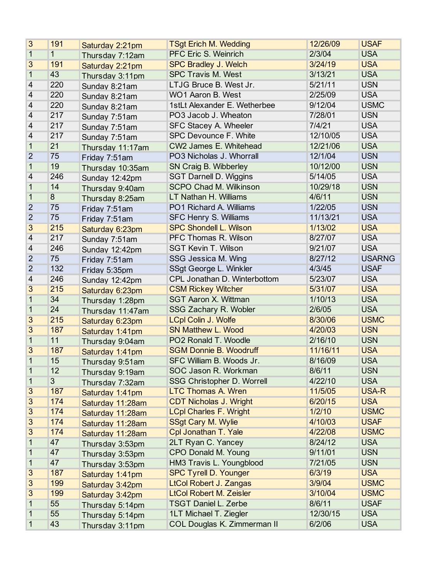| 3                        | 191            | Saturday 2:21pm  | <b>TSgt Erich M. Wedding</b>      | 12/26/09 | <b>USAF</b>   |
|--------------------------|----------------|------------------|-----------------------------------|----------|---------------|
| $\mathbf{1}$             | 1              | Thursday 7:12am  | PFC Eric S. Weinrich              | 2/3/04   | <b>USA</b>    |
| 3                        | 191            | Saturday 2:21pm  | <b>SPC Bradley J. Welch</b>       | 3/24/19  | <b>USA</b>    |
| 1                        | 43             | Thursday 3:11pm  | <b>SPC Travis M. West</b>         | 3/13/21  | <b>USA</b>    |
| 4                        | 220            | Sunday 8:21am    | LTJG Bruce B. West Jr.            | 5/21/11  | <b>USN</b>    |
| 4                        | 220            | Sunday 8:21am    | WO1 Aaron B. West                 | 2/25/09  | <b>USA</b>    |
| 4                        | 220            | Sunday 8:21am    | 1stLt Alexander E. Wetherbee      | 9/12/04  | <b>USMC</b>   |
| 4                        | 217            | Sunday 7:51am    | PO3 Jacob J. Wheaton              | 7/28/01  | <b>USN</b>    |
| 4                        | 217            | Sunday 7:51am    | <b>SFC Stacey A. Wheeler</b>      | 7/4/21   | <b>USA</b>    |
| $\overline{\mathcal{A}}$ | 217            | Sunday 7:51am    | <b>SPC Devounce F. White</b>      | 12/10/05 | <b>USA</b>    |
| $\mathbf{1}$             | 21             | Thursday 11:17am | CW2 James E. Whitehead            | 12/21/06 | <b>USA</b>    |
| $\overline{2}$           | 75             | Friday 7:51am    | PO3 Nicholas J. Whorrall          | 12/1/04  | <b>USN</b>    |
| 1                        | 19             | Thursday 10:35am | SN Craig B. Wibberley             | 10/12/00 | <b>USN</b>    |
| 4                        | 246            | Sunday 12:42pm   | <b>SGT Darnell D. Wiggins</b>     | 5/14/05  | <b>USA</b>    |
| 1                        | 14             | Thursday 9:40am  | <b>SCPO Chad M. Wilkinson</b>     | 10/29/18 | <b>USN</b>    |
| $\mathbf{1}$             | 8              | Thursday 8:25am  | LT Nathan H. Williams             | 4/6/11   | <b>USN</b>    |
| $\overline{2}$           | 75             | Friday 7:51am    | PO1 Richard A. Williams           | 1/22/05  | <b>USN</b>    |
| $\overline{2}$           | 75             | Friday 7:51am    | <b>SFC Henry S. Williams</b>      | 11/13/21 | <b>USA</b>    |
| 3                        | 215            | Saturday 6:23pm  | <b>SPC Shondell L. Wilson</b>     | 1/13/02  | <b>USA</b>    |
| 4                        | 217            | Sunday 7:51am    | PFC Thomas R. Wilson              | 8/27/07  | <b>USA</b>    |
| 4                        | 246            | Sunday 12:42pm   | <b>SGT Kevin T. Wilson</b>        | 9/21/07  | <b>USA</b>    |
| $\overline{2}$           | 75             | Friday 7:51am    | SSG Jessica M. Wing               | 8/27/12  | <b>USARNG</b> |
| $\overline{2}$           | 132            | Friday 5:35pm    | SSgt George L. Winkler            | 4/3/45   | <b>USAF</b>   |
| 4                        | 246            | Sunday 12:42pm   | CPL Jonathan D. Winterbottom      | 5/23/07  | <b>USA</b>    |
| 3                        | 215            | Saturday 6:23pm  | <b>CSM Rickey Witcher</b>         | 5/31/07  | <b>USA</b>    |
| 1                        | 34             | Thursday 1:28pm  | <b>SGT Aaron X. Wittman</b>       | 1/10/13  | <b>USA</b>    |
| 1                        | 24             | Thursday 11:47am | <b>SSG Zachary R. Wobler</b>      | 2/6/05   | <b>USA</b>    |
| 3                        | 215            | Saturday 6:23pm  | <b>LCpl Colin J. Wolfe</b>        | 8/30/06  | <b>USMC</b>   |
| 3                        | 187            | Saturday 1:41pm  | <b>SN Matthew L. Wood</b>         | 4/20/03  | <b>USN</b>    |
| $\mathbf{1}$             | 11             | Thursday 9:04am  | PO2 Ronald T. Woodle              | 2/16/10  | <b>USN</b>    |
| 3                        | 187            | Saturday 1:41pm  | <b>SGM Donnie B. Woodruff</b>     | 11/16/11 | <b>USA</b>    |
| 1                        | 15             | Thursday 9:51am  | SFC William B. Woods Jr.          | 8/16/09  | <b>USA</b>    |
| 1                        | 12             | Thursday 9:19am  | <b>SOC Jason R. Workman</b>       | 8/6/11   | <b>USN</b>    |
| 1                        | $\overline{3}$ | Thursday 7:32am  | <b>SSG Christopher D. Worrell</b> | 4/22/10  | <b>USA</b>    |
| 3                        | 187            | Saturday 1:41pm  | <b>LTC Thomas A. Wren</b>         | 11/5/05  | USA-R         |
| 3                        | 174            | Saturday 11:28am | <b>CDT Nicholas J. Wright</b>     | 6/20/15  | <b>USA</b>    |
| 3                        | 174            | Saturday 11:28am | <b>LCpl Charles F. Wright</b>     | 1/2/10   | <b>USMC</b>   |
| 3                        | 174            | Saturday 11:28am | <b>SSgt Cary M. Wylie</b>         | 4/10/03  | <b>USAF</b>   |
| 3                        | 174            | Saturday 11:28am | Cpl Jonathan T. Yale              | 4/22/08  | <b>USMC</b>   |
| 1                        | 47             | Thursday 3:53pm  | 2LT Ryan C. Yancey                | 8/24/12  | <b>USA</b>    |
| 1                        | 47             | Thursday 3:53pm  | <b>CPO Donald M. Young</b>        | 9/11/01  | <b>USN</b>    |
| 1                        | 47             | Thursday 3:53pm  | HM3 Travis L. Youngblood          | 7/21/05  | <b>USN</b>    |
| 3                        | 187            | Saturday 1:41pm  | <b>SPC Tyrell D. Younger</b>      | 6/3/19   | <b>USA</b>    |
| 3                        | 199            | Saturday 3:42pm  | <b>LtCol Robert J. Zangas</b>     | 3/9/04   | <b>USMC</b>   |
| 3                        | 199            | Saturday 3:42pm  | <b>LtCol Robert M. Zeisler</b>    | 3/10/04  | <b>USMC</b>   |
| 1                        | 55             | Thursday 5:14pm  | <b>TSGT Daniel L. Zerbe</b>       | 8/6/11   | <b>USAF</b>   |
| 1                        | 55             | Thursday 5:14pm  | 1LT Michael T. Ziegler            | 12/30/15 | <b>USA</b>    |
| 1                        | 43             | Thursday 3:11pm  | COL Douglas K. Zimmerman II       | 6/2/06   | <b>USA</b>    |